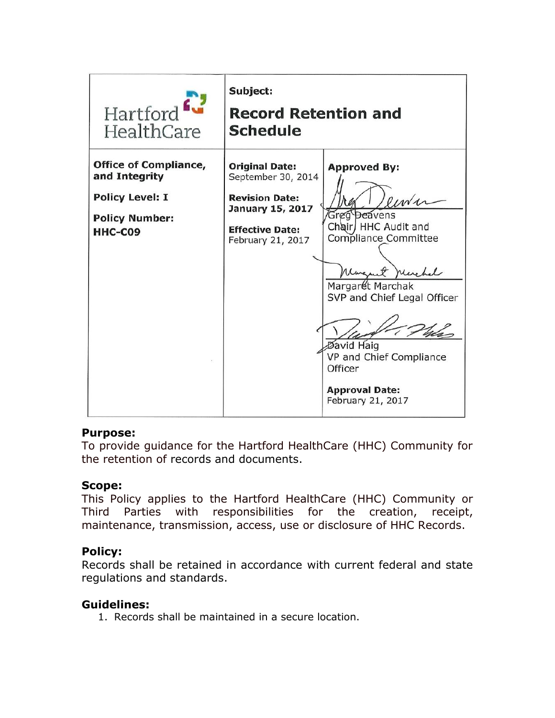

#### **Purpose:**

To provide guidance for the Hartford HealthCare (HHC) Community for the retention of records and documents.

#### **Scope:**

This Policy applies to the Hartford HealthCare (HHC) Community or Third Parties with responsibilities for the creation, receipt, maintenance, transmission, access, use or disclosure of HHC Records.

#### **Policy:**

Records shall be retained in accordance with current federal and state regulations and standards.

#### **Guidelines:**

1. Records shall be maintained in a secure location.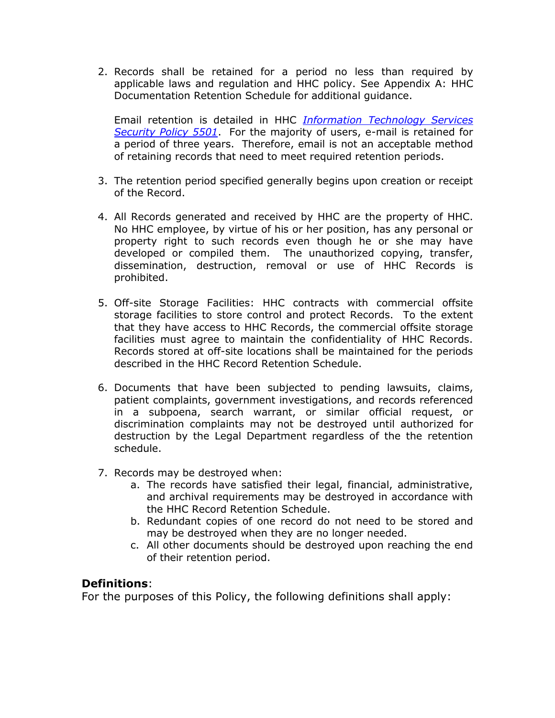2. Records shall be retained for a period no less than required by applicable laws and regulation and HHC policy. See Appendix A: HHC Documentation Retention Schedule for additional guidance.

Email retention is detailed in HHC *[Information Technology Services](https://myhhc.hhchealth.org/HHCUnity/Email/Outlook%20Conversion/Email%20Retention%20Policy.pdf)  [Security Policy 5501](https://myhhc.hhchealth.org/HHCUnity/Email/Outlook%20Conversion/Email%20Retention%20Policy.pdf)*. For the majority of users, e-mail is retained for a period of three years. Therefore, email is not an acceptable method of retaining records that need to meet required retention periods.

- 3. The retention period specified generally begins upon creation or receipt of the Record.
- 4. All Records generated and received by HHC are the property of HHC. No HHC employee, by virtue of his or her position, has any personal or property right to such records even though he or she may have developed or compiled them. The unauthorized copying, transfer, dissemination, destruction, removal or use of HHC Records is prohibited.
- 5. Off-site Storage Facilities: HHC contracts with commercial offsite storage facilities to store control and protect Records. To the extent that they have access to HHC Records, the commercial offsite storage facilities must agree to maintain the confidentiality of HHC Records. Records stored at off-site locations shall be maintained for the periods described in the HHC Record Retention Schedule.
- 6. Documents that have been subjected to pending lawsuits, claims, patient complaints, government investigations, and records referenced in a subpoena, search warrant, or similar official request, or discrimination complaints may not be destroyed until authorized for destruction by the Legal Department regardless of the the retention schedule.
- 7. Records may be destroyed when:
	- a. The records have satisfied their legal, financial, administrative, and archival requirements may be destroyed in accordance with the HHC Record Retention Schedule.
	- b. Redundant copies of one record do not need to be stored and may be destroyed when they are no longer needed.
	- c. All other documents should be destroyed upon reaching the end of their retention period.

#### **Definitions**:

For the purposes of this Policy, the following definitions shall apply: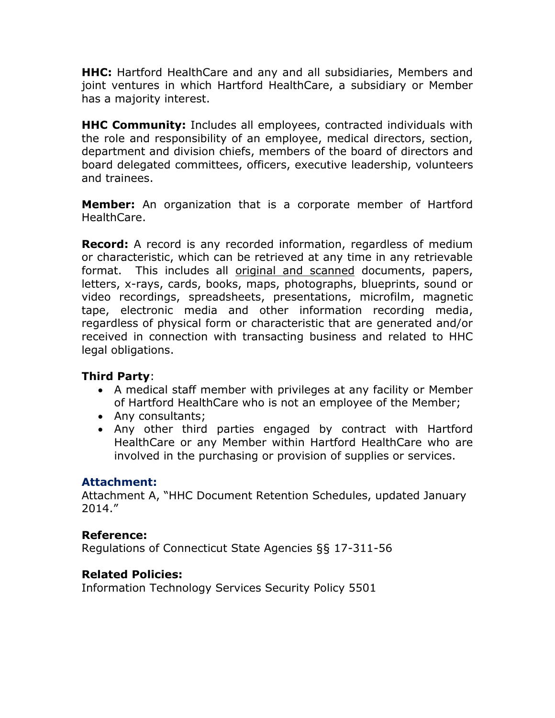**HHC:** Hartford HealthCare and any and all subsidiaries, Members and joint ventures in which Hartford HealthCare, a subsidiary or Member has a majority interest.

**HHC Community:** Includes all employees, contracted individuals with the role and responsibility of an employee, medical directors, section, department and division chiefs, members of the board of directors and board delegated committees, officers, executive leadership, volunteers and trainees.

**Member:** An organization that is a corporate member of Hartford HealthCare.

**Record:** A record is any recorded information, regardless of medium or characteristic, which can be retrieved at any time in any retrievable format. This includes all original and scanned documents, papers, letters, x-rays, cards, books, maps, photographs, blueprints, sound or video recordings, spreadsheets, presentations, microfilm, magnetic tape, electronic media and other information recording media, regardless of physical form or characteristic that are generated and/or received in connection with transacting business and related to HHC legal obligations.

#### **Third Party**:

- A medical staff member with privileges at any facility or Member of Hartford HealthCare who is not an employee of the Member;
- Any consultants;
- Any other third parties engaged by contract with Hartford HealthCare or any Member within Hartford HealthCare who are involved in the purchasing or provision of supplies or services.

#### **Attachment:**

Attachment A, "HHC Document Retention Schedules, updated January 2014."

#### **Reference:**

Regulations of Connecticut State Agencies §§ 17-311-56

## **Related Policies:**

Information Technology Services Security Policy 5501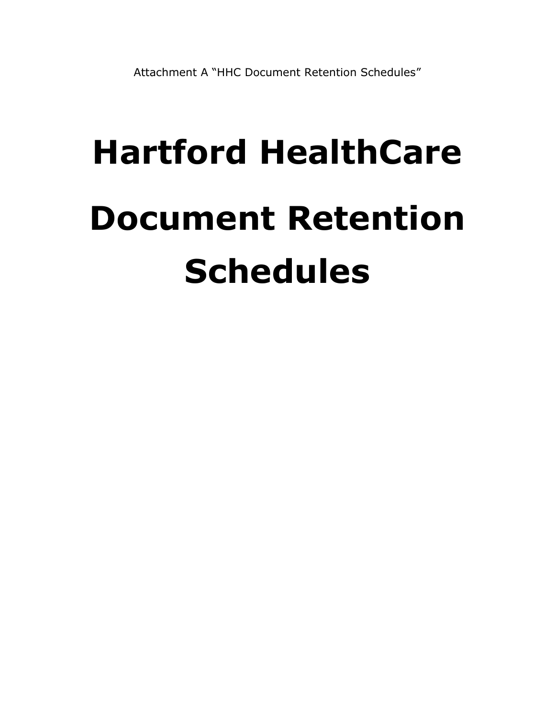# **Hartford HealthCare Document Retention Schedules**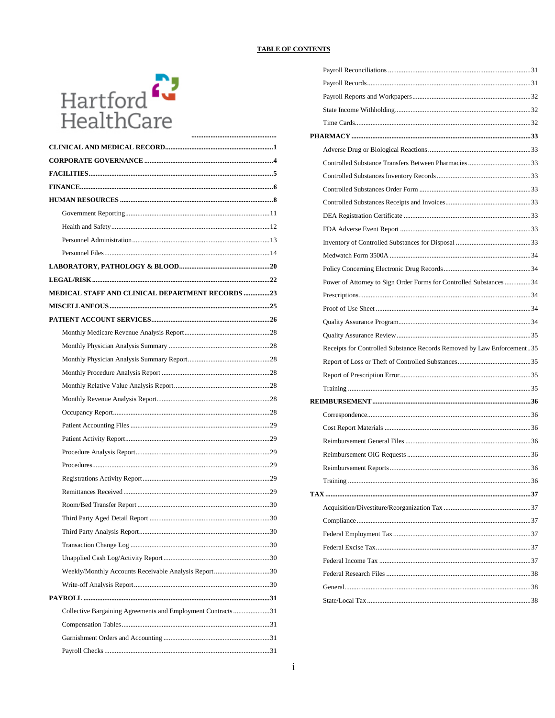#### **TABLE OF CONTENTS**



| MEDICAL STAFF AND CLINICAL DEPARTMENT RECORDS 23            |  |
|-------------------------------------------------------------|--|
|                                                             |  |
|                                                             |  |
|                                                             |  |
|                                                             |  |
|                                                             |  |
|                                                             |  |
|                                                             |  |
|                                                             |  |
|                                                             |  |
|                                                             |  |
|                                                             |  |
|                                                             |  |
|                                                             |  |
|                                                             |  |
|                                                             |  |
|                                                             |  |
|                                                             |  |
|                                                             |  |
|                                                             |  |
|                                                             |  |
| Weekly/Monthly Accounts Receivable Analysis Report30        |  |
|                                                             |  |
|                                                             |  |
| Collective Bargaining Agreements and Employment Contracts31 |  |
|                                                             |  |
|                                                             |  |
|                                                             |  |

| Power of Attorney to Sign Order Forms for Controlled Substances 34     |  |
|------------------------------------------------------------------------|--|
|                                                                        |  |
|                                                                        |  |
|                                                                        |  |
|                                                                        |  |
|                                                                        |  |
| Receipts for Controlled Substance Records Removed by Law Enforcement35 |  |
|                                                                        |  |
|                                                                        |  |
|                                                                        |  |
|                                                                        |  |
|                                                                        |  |
|                                                                        |  |
|                                                                        |  |
|                                                                        |  |
|                                                                        |  |
|                                                                        |  |
|                                                                        |  |
|                                                                        |  |
|                                                                        |  |
|                                                                        |  |
|                                                                        |  |
|                                                                        |  |
|                                                                        |  |
|                                                                        |  |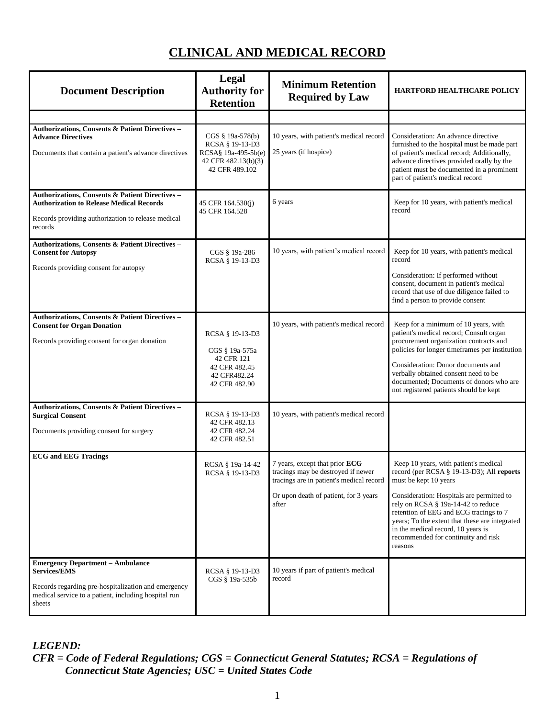# **CLINICAL AND MEDICAL RECORD**

<span id="page-5-0"></span>

| <b>Document Description</b>                                                                                                                                                             | Legal<br><b>Authority for</b><br><b>Retention</b>                                                   | <b>Minimum Retention</b><br><b>Required by Law</b>                                                                                                                 | <b>HARTFORD HEALTHCARE POLICY</b>                                                                                                                                                                                                                                                                                                                                                  |
|-----------------------------------------------------------------------------------------------------------------------------------------------------------------------------------------|-----------------------------------------------------------------------------------------------------|--------------------------------------------------------------------------------------------------------------------------------------------------------------------|------------------------------------------------------------------------------------------------------------------------------------------------------------------------------------------------------------------------------------------------------------------------------------------------------------------------------------------------------------------------------------|
|                                                                                                                                                                                         |                                                                                                     |                                                                                                                                                                    |                                                                                                                                                                                                                                                                                                                                                                                    |
| Authorizations, Consents & Patient Directives -<br><b>Advance Directives</b><br>Documents that contain a patient's advance directives                                                   | CGS § 19a-578(b)<br>RCSA § 19-13-D3<br>RCSA§ 19a-495-5b(e)<br>42 CFR 482.13(b)(3)<br>42 CFR 489.102 | 10 years, with patient's medical record<br>25 years (if hospice)                                                                                                   | Consideration: An advance directive<br>furnished to the hospital must be made part<br>of patient's medical record; Additionally,<br>advance directives provided orally by the<br>patient must be documented in a prominent<br>part of patient's medical record                                                                                                                     |
| Authorizations, Consents & Patient Directives -<br><b>Authorization to Release Medical Records</b><br>Records providing authorization to release medical<br>records                     | 45 CFR 164.530(j)<br>45 CFR 164.528                                                                 | 6 years                                                                                                                                                            | Keep for 10 years, with patient's medical<br>record                                                                                                                                                                                                                                                                                                                                |
| Authorizations, Consents & Patient Directives -<br><b>Consent for Autopsy</b><br>Records providing consent for autopsy                                                                  | CGS § 19a-286<br>RCSA § 19-13-D3                                                                    | 10 years, with patient's medical record                                                                                                                            | Keep for 10 years, with patient's medical<br>record<br>Consideration: If performed without<br>consent, document in patient's medical<br>record that use of due diligence failed to<br>find a person to provide consent                                                                                                                                                             |
| Authorizations, Consents & Patient Directives -<br><b>Consent for Organ Donation</b><br>Records providing consent for organ donation                                                    | RCSA § 19-13-D3<br>CGS § 19a-575a<br>42 CFR 121<br>42 CFR 482.45<br>42 CFR482.24<br>42 CFR 482.90   | 10 years, with patient's medical record                                                                                                                            | Keep for a minimum of 10 years, with<br>patient's medical record; Consult organ<br>procurement organization contracts and<br>policies for longer timeframes per institution<br>Consideration: Donor documents and<br>verbally obtained consent need to be<br>documented; Documents of donors who are<br>not registered patients should be kept                                     |
| Authorizations, Consents & Patient Directives -<br><b>Surgical Consent</b><br>Documents providing consent for surgery                                                                   | RCSA § 19-13-D3<br>42 CFR 482.13<br>42 CFR 482.24<br>42 CFR 482.51                                  | 10 years, with patient's medical record                                                                                                                            |                                                                                                                                                                                                                                                                                                                                                                                    |
| <b>ECG</b> and <b>EEG</b> Tracings                                                                                                                                                      | RCSA § 19a-14-42<br>RCSA § 19-13-D3                                                                 | 7 years, except that prior ECG<br>tracings may be destroyed if newer<br>tracings are in patient's medical record<br>Or upon death of patient, for 3 years<br>after | Keep 10 years, with patient's medical<br>record (per RCSA § 19-13-D3); All reports<br>must be kept 10 years<br>Consideration: Hospitals are permitted to<br>rely on RCSA § 19a-14-42 to reduce<br>retention of EEG and ECG tracings to 7<br>years; To the extent that these are integrated<br>in the medical record, 10 years is<br>recommended for continuity and risk<br>reasons |
| <b>Emergency Department - Ambulance</b><br><b>Services/EMS</b><br>Records regarding pre-hospitalization and emergency<br>medical service to a patient, including hospital run<br>sheets | RCSA § 19-13-D3<br>CGS § 19a-535b                                                                   | 10 years if part of patient's medical<br>record                                                                                                                    |                                                                                                                                                                                                                                                                                                                                                                                    |

*LEGEND:*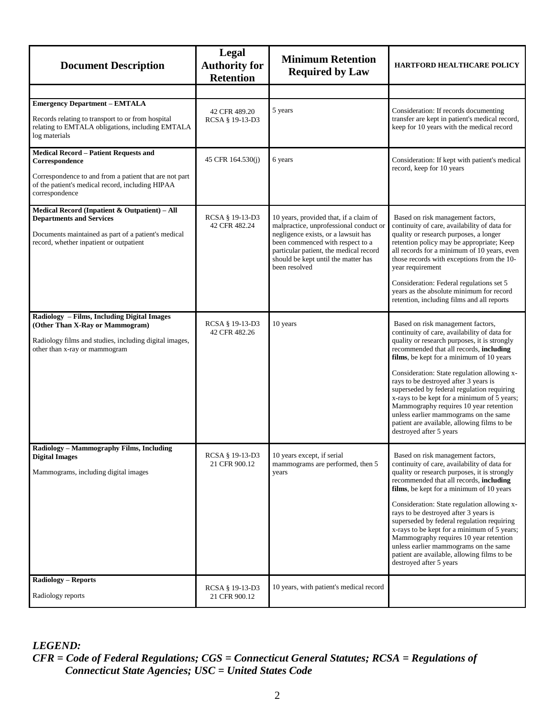| <b>Document Description</b>                                                                                                                                                                    | Legal<br><b>Authority for</b><br><b>Retention</b> | <b>Minimum Retention</b><br><b>Required by Law</b>                                                                                                                                                                                                            | HARTFORD HEALTHCARE POLICY                                                                                                                                                                                                                                                                                                                                                                                                                                                                                                                                                 |
|------------------------------------------------------------------------------------------------------------------------------------------------------------------------------------------------|---------------------------------------------------|---------------------------------------------------------------------------------------------------------------------------------------------------------------------------------------------------------------------------------------------------------------|----------------------------------------------------------------------------------------------------------------------------------------------------------------------------------------------------------------------------------------------------------------------------------------------------------------------------------------------------------------------------------------------------------------------------------------------------------------------------------------------------------------------------------------------------------------------------|
|                                                                                                                                                                                                |                                                   |                                                                                                                                                                                                                                                               |                                                                                                                                                                                                                                                                                                                                                                                                                                                                                                                                                                            |
| <b>Emergency Department - EMTALA</b><br>Records relating to transport to or from hospital<br>relating to EMTALA obligations, including EMTALA<br>log materials                                 | 42 CFR 489.20<br>RCSA § 19-13-D3                  | 5 years                                                                                                                                                                                                                                                       | Consideration: If records documenting<br>transfer are kept in patient's medical record,<br>keep for 10 years with the medical record                                                                                                                                                                                                                                                                                                                                                                                                                                       |
| <b>Medical Record - Patient Requests and</b><br>Correspondence<br>Correspondence to and from a patient that are not part<br>of the patient's medical record, including HIPAA<br>correspondence | 45 CFR 164.530(j)                                 | 6 years                                                                                                                                                                                                                                                       | Consideration: If kept with patient's medical<br>record, keep for 10 years                                                                                                                                                                                                                                                                                                                                                                                                                                                                                                 |
| Medical Record (Inpatient & Outpatient) - All<br><b>Departments and Services</b><br>Documents maintained as part of a patient's medical<br>record, whether inpatient or outpatient             | RCSA § 19-13-D3<br>42 CFR 482.24                  | 10 years, provided that, if a claim of<br>malpractice, unprofessional conduct or<br>negligence exists, or a lawsuit has<br>been commenced with respect to a<br>particular patient, the medical record<br>should be kept until the matter has<br>been resolved | Based on risk management factors,<br>continuity of care, availability of data for<br>quality or research purposes, a longer<br>retention policy may be appropriate; Keep<br>all records for a minimum of 10 years, even<br>those records with exceptions from the 10-<br>year requirement<br>Consideration: Federal regulations set 5<br>years as the absolute minimum for record<br>retention, including films and all reports                                                                                                                                            |
| Radiology - Films, Including Digital Images<br>(Other Than X-Ray or Mammogram)<br>Radiology films and studies, including digital images,<br>other than x-ray or mammogram                      | RCSA § 19-13-D3<br>42 CFR 482.26                  | 10 years                                                                                                                                                                                                                                                      | Based on risk management factors,<br>continuity of care, availability of data for<br>quality or research purposes, it is strongly<br>recommended that all records, including<br>films, be kept for a minimum of 10 years<br>Consideration: State regulation allowing x-<br>rays to be destroyed after 3 years is<br>superseded by federal regulation requiring<br>x-rays to be kept for a minimum of 5 years;<br>Mammography requires 10 year retention<br>unless earlier mammograms on the same<br>patient are available, allowing films to be<br>destroyed after 5 years |
| Radiology - Mammography Films, Including<br><b>Digital Images</b><br>Mammograms, including digital images                                                                                      | RCSA § 19-13-D3<br>21 CFR 900.12                  | 10 years except, if serial<br>mammograms are performed, then 5<br>years                                                                                                                                                                                       | Based on risk management factors,<br>continuity of care, availability of data for<br>quality or research purposes, it is strongly<br>recommended that all records, including<br>films, be kept for a minimum of 10 years<br>Consideration: State regulation allowing x-<br>rays to be destroyed after 3 years is<br>superseded by federal regulation requiring<br>x-rays to be kept for a minimum of 5 years;<br>Mammography requires 10 year retention<br>unless earlier mammograms on the same<br>patient are available, allowing films to be<br>destroyed after 5 years |
| <b>Radiology - Reports</b><br>Radiology reports                                                                                                                                                | RCSA § 19-13-D3<br>21 CFR 900.12                  | 10 years, with patient's medical record                                                                                                                                                                                                                       |                                                                                                                                                                                                                                                                                                                                                                                                                                                                                                                                                                            |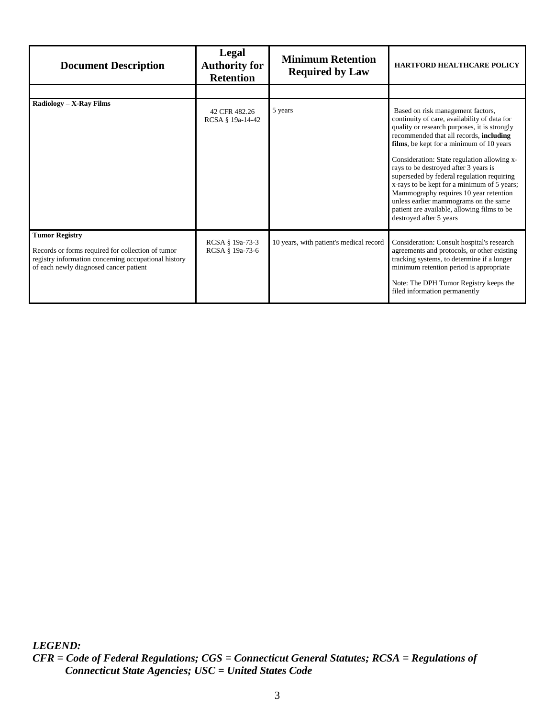| <b>Document Description</b>                                                                                                                                                  | Legal<br><b>Authority for</b><br><b>Retention</b> | <b>Minimum Retention</b><br><b>Required by Law</b> | <b>HARTFORD HEALTHCARE POLICY</b>                                                                                                                                                                                                                                                                                                                                                                                                                                                                                                                                          |
|------------------------------------------------------------------------------------------------------------------------------------------------------------------------------|---------------------------------------------------|----------------------------------------------------|----------------------------------------------------------------------------------------------------------------------------------------------------------------------------------------------------------------------------------------------------------------------------------------------------------------------------------------------------------------------------------------------------------------------------------------------------------------------------------------------------------------------------------------------------------------------------|
|                                                                                                                                                                              |                                                   |                                                    |                                                                                                                                                                                                                                                                                                                                                                                                                                                                                                                                                                            |
| Radiology – X-Ray Films                                                                                                                                                      | 42 CFR 482.26<br>RCSA § 19a-14-42                 | 5 years                                            | Based on risk management factors,<br>continuity of care, availability of data for<br>quality or research purposes, it is strongly<br>recommended that all records, including<br>films, be kept for a minimum of 10 years<br>Consideration: State regulation allowing x-<br>rays to be destroyed after 3 years is<br>superseded by federal regulation requiring<br>x-rays to be kept for a minimum of 5 years;<br>Mammography requires 10 year retention<br>unless earlier mammograms on the same<br>patient are available, allowing films to be<br>destroyed after 5 years |
| <b>Tumor Registry</b><br>Records or forms required for collection of tumor<br>registry information concerning occupational history<br>of each newly diagnosed cancer patient | RCSA § 19a-73-3<br>RCSA § 19a-73-6                | 10 years, with patient's medical record            | Consideration: Consult hospital's research<br>agreements and protocols, or other existing<br>tracking systems, to determine if a longer<br>minimum retention period is appropriate<br>Note: The DPH Tumor Registry keeps the<br>filed information permanently                                                                                                                                                                                                                                                                                                              |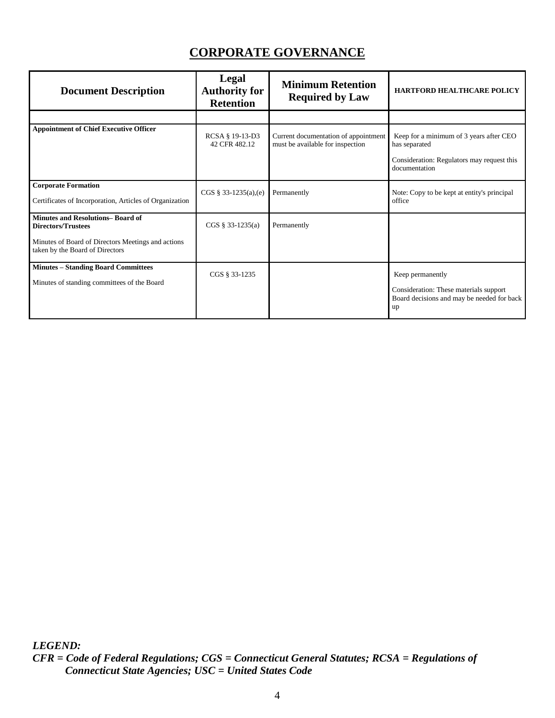# **CORPORATE GOVERNANCE**

<span id="page-8-0"></span>

| <b>Document Description</b>                                                                                                                                   | Legal<br><b>Authority for</b><br><b>Retention</b> | <b>Minimum Retention</b><br><b>Required by Law</b>                       | <b>HARTFORD HEALTHCARE POLICY</b>                                                                                       |
|---------------------------------------------------------------------------------------------------------------------------------------------------------------|---------------------------------------------------|--------------------------------------------------------------------------|-------------------------------------------------------------------------------------------------------------------------|
|                                                                                                                                                               |                                                   |                                                                          |                                                                                                                         |
| <b>Appointment of Chief Executive Officer</b>                                                                                                                 | RCSA § 19-13-D3<br>42 CFR 482.12                  | Current documentation of appointment<br>must be available for inspection | Keep for a minimum of 3 years after CEO<br>has separated<br>Consideration: Regulators may request this<br>documentation |
| <b>Corporate Formation</b><br>Certificates of Incorporation, Articles of Organization                                                                         | $CGS \S 33-1235(a),(e)$                           | Permanently                                                              | Note: Copy to be kept at entity's principal<br>office                                                                   |
| <b>Minutes and Resolutions-Board of</b><br><b>Directors/Trustees</b><br>Minutes of Board of Directors Meetings and actions<br>taken by the Board of Directors | $CGS \S 33-1235(a)$                               | Permanently                                                              |                                                                                                                         |
| <b>Minutes - Standing Board Committees</b><br>Minutes of standing committees of the Board                                                                     | CGS § 33-1235                                     |                                                                          | Keep permanently<br>Consideration: These materials support<br>Board decisions and may be needed for back<br>up          |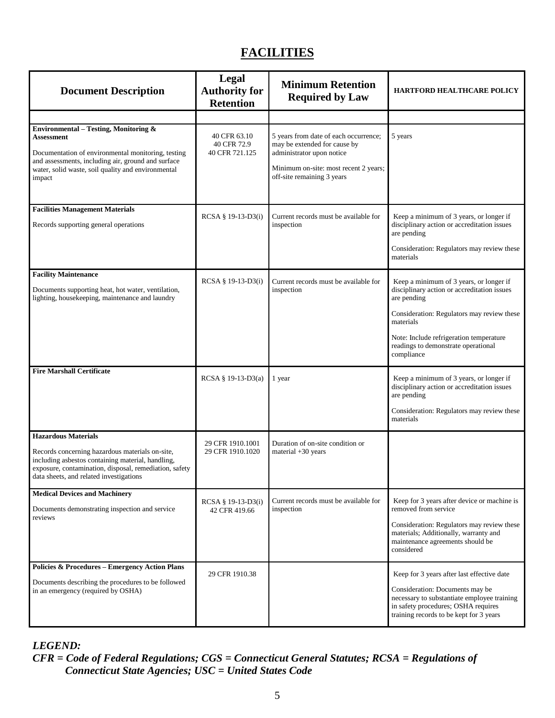# **FACILITIES**

<span id="page-9-0"></span>

| <b>Document Description</b>                                                                                                                                                                                                             | Legal<br><b>Authority for</b><br><b>Retention</b> | <b>Minimum Retention</b><br><b>Required by Law</b>                                                                                                                        | <b>HARTFORD HEALTHCARE POLICY</b>                                                                                                                                                                                                                                |
|-----------------------------------------------------------------------------------------------------------------------------------------------------------------------------------------------------------------------------------------|---------------------------------------------------|---------------------------------------------------------------------------------------------------------------------------------------------------------------------------|------------------------------------------------------------------------------------------------------------------------------------------------------------------------------------------------------------------------------------------------------------------|
|                                                                                                                                                                                                                                         |                                                   |                                                                                                                                                                           |                                                                                                                                                                                                                                                                  |
| Environmental - Testing, Monitoring &<br>Assessment<br>Documentation of environmental monitoring, testing<br>and assessments, including air, ground and surface<br>water, solid waste, soil quality and environmental<br>impact         | 40 CFR 63.10<br>40 CFR 72.9<br>40 CFR 721.125     | 5 years from date of each occurrence;<br>may be extended for cause by<br>administrator upon notice<br>Minimum on-site: most recent 2 years;<br>off-site remaining 3 years | 5 years                                                                                                                                                                                                                                                          |
| <b>Facilities Management Materials</b><br>Records supporting general operations                                                                                                                                                         | RCSA § 19-13-D3(i)                                | Current records must be available for<br>inspection                                                                                                                       | Keep a minimum of 3 years, or longer if<br>disciplinary action or accreditation issues<br>are pending<br>Consideration: Regulators may review these<br>materials                                                                                                 |
| <b>Facility Maintenance</b><br>Documents supporting heat, hot water, ventilation,<br>lighting, housekeeping, maintenance and laundry                                                                                                    | RCSA § 19-13-D3(i)                                | Current records must be available for<br>inspection                                                                                                                       | Keep a minimum of 3 years, or longer if<br>disciplinary action or accreditation issues<br>are pending<br>Consideration: Regulators may review these<br>materials<br>Note: Include refrigeration temperature<br>readings to demonstrate operational<br>compliance |
| <b>Fire Marshall Certificate</b>                                                                                                                                                                                                        | RCSA § 19-13-D3(a)                                | 1 year                                                                                                                                                                    | Keep a minimum of 3 years, or longer if<br>disciplinary action or accreditation issues<br>are pending<br>Consideration: Regulators may review these<br>materials                                                                                                 |
| <b>Hazardous Materials</b><br>Records concerning hazardous materials on-site,<br>including asbestos containing material, handling,<br>exposure, contamination, disposal, remediation, safety<br>data sheets, and related investigations | 29 CFR 1910.1001<br>29 CFR 1910.1020              | Duration of on-site condition or<br>material $+30$ years                                                                                                                  |                                                                                                                                                                                                                                                                  |
| <b>Medical Devices and Machinery</b><br>Documents demonstrating inspection and service<br>reviews                                                                                                                                       | RCSA § 19-13-D3(i)<br>42 CFR 419.66               | Current records must be available for<br>inspection                                                                                                                       | Keep for 3 years after device or machine is<br>removed from service<br>Consideration: Regulators may review these<br>materials; Additionally, warranty and<br>maintenance agreements should be<br>considered                                                     |
| <b>Policies &amp; Procedures - Emergency Action Plans</b><br>Documents describing the procedures to be followed<br>in an emergency (required by OSHA)                                                                                   | 29 CFR 1910.38                                    |                                                                                                                                                                           | Keep for 3 years after last effective date<br>Consideration: Documents may be<br>necessary to substantiate employee training<br>in safety procedures; OSHA requires<br>training records to be kept for 3 years                                                   |

*LEGEND:*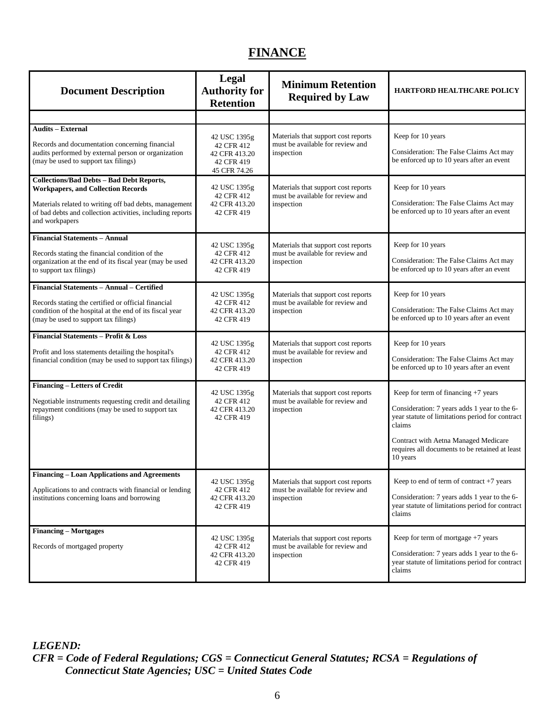## **FINANCE**

<span id="page-10-0"></span>

| <b>Document Description</b>                                                                                                                                                                                                            | Legal<br><b>Authority for</b><br><b>Retention</b>                         | <b>Minimum Retention</b><br><b>Required by Law</b>                                    | <b>HARTFORD HEALTHCARE POLICY</b>                                                                                                                                                                                                                      |
|----------------------------------------------------------------------------------------------------------------------------------------------------------------------------------------------------------------------------------------|---------------------------------------------------------------------------|---------------------------------------------------------------------------------------|--------------------------------------------------------------------------------------------------------------------------------------------------------------------------------------------------------------------------------------------------------|
|                                                                                                                                                                                                                                        |                                                                           |                                                                                       |                                                                                                                                                                                                                                                        |
| <b>Audits - External</b><br>Records and documentation concerning financial<br>audits performed by external person or organization<br>(may be used to support tax filings)                                                              | 42 USC 1395g<br>42 CFR 412<br>42 CFR 413.20<br>42 CFR 419<br>45 CFR 74.26 | Materials that support cost reports<br>must be available for review and<br>inspection | Keep for 10 years<br>Consideration: The False Claims Act may<br>be enforced up to 10 years after an event                                                                                                                                              |
| <b>Collections/Bad Debts - Bad Debt Reports,</b><br><b>Workpapers, and Collection Records</b><br>Materials related to writing off bad debts, management<br>of bad debts and collection activities, including reports<br>and workpapers | 42 USC 1395g<br>42 CFR 412<br>42 CFR 413.20<br>42 CFR 419                 | Materials that support cost reports<br>must be available for review and<br>inspection | Keep for 10 years<br>Consideration: The False Claims Act may<br>be enforced up to 10 years after an event                                                                                                                                              |
| <b>Financial Statements - Annual</b><br>Records stating the financial condition of the<br>organization at the end of its fiscal year (may be used<br>to support tax filings)                                                           | 42 USC 1395g<br>42 CFR 412<br>42 CFR 413.20<br>42 CFR 419                 | Materials that support cost reports<br>must be available for review and<br>inspection | Keep for 10 years<br>Consideration: The False Claims Act may<br>be enforced up to 10 years after an event                                                                                                                                              |
| Financial Statements - Annual - Certified<br>Records stating the certified or official financial<br>condition of the hospital at the end of its fiscal year<br>(may be used to support tax filings)                                    | 42 USC 1395g<br>42 CFR 412<br>42 CFR 413.20<br>42 CFR 419                 | Materials that support cost reports<br>must be available for review and<br>inspection | Keep for 10 years<br>Consideration: The False Claims Act may<br>be enforced up to 10 years after an event                                                                                                                                              |
| <b>Financial Statements - Profit &amp; Loss</b><br>Profit and loss statements detailing the hospital's<br>financial condition (may be used to support tax filings)                                                                     | 42 USC 1395g<br>42 CFR 412<br>42 CFR 413.20<br>42 CFR 419                 | Materials that support cost reports<br>must be available for review and<br>inspection | Keep for 10 years<br>Consideration: The False Claims Act may<br>be enforced up to 10 years after an event                                                                                                                                              |
| Financing - Letters of Credit<br>Negotiable instruments requesting credit and detailing<br>repayment conditions (may be used to support tax<br>filings)                                                                                | 42 USC 1395g<br>42 CFR 412<br>42 CFR 413.20<br>42 CFR 419                 | Materials that support cost reports<br>must be available for review and<br>inspection | Keep for term of financing +7 years<br>Consideration: 7 years adds 1 year to the 6-<br>year statute of limitations period for contract<br>claims<br>Contract with Aetna Managed Medicare<br>requires all documents to be retained at least<br>10 years |
| <b>Financing - Loan Applications and Agreements</b><br>Applications to and contracts with financial or lending<br>institutions concerning loans and borrowing                                                                          | 42 USC 1395g<br>42 CFR 412<br>42 CFR 413.20<br>42 CFR 419                 | Materials that support cost reports<br>must be available for review and<br>inspection | Keep to end of term of contract $+7$ years<br>Consideration: 7 years adds 1 year to the 6-<br>year statute of limitations period for contract<br>claims                                                                                                |
| <b>Financing - Mortgages</b><br>Records of mortgaged property                                                                                                                                                                          | 42 USC 1395g<br>42 CFR 412<br>42 CFR 413.20<br>42 CFR 419                 | Materials that support cost reports<br>must be available for review and<br>inspection | Keep for term of mortgage $+7$ years<br>Consideration: 7 years adds 1 year to the 6-<br>year statute of limitations period for contract<br>claims                                                                                                      |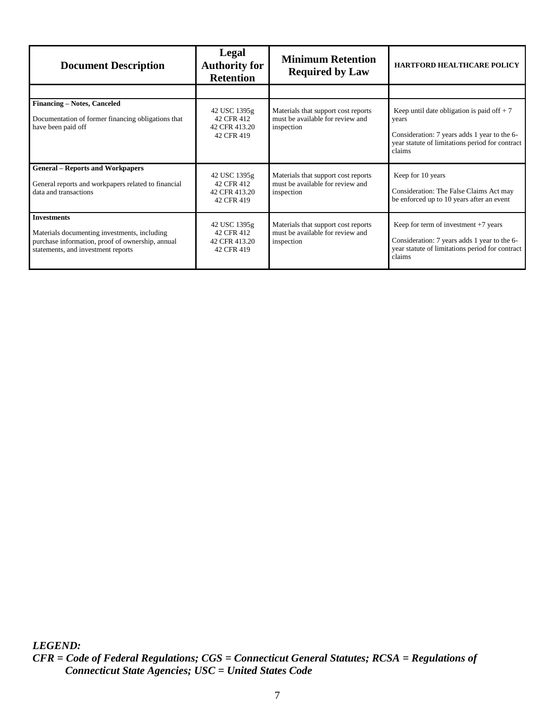| <b>Document Description</b>                                                                                                                                  | Legal<br><b>Authority for</b><br><b>Retention</b>         | <b>Minimum Retention</b><br><b>Required by Law</b>                                    | <b>HARTFORD HEALTHCARE POLICY</b>                                                                                                                                   |
|--------------------------------------------------------------------------------------------------------------------------------------------------------------|-----------------------------------------------------------|---------------------------------------------------------------------------------------|---------------------------------------------------------------------------------------------------------------------------------------------------------------------|
|                                                                                                                                                              |                                                           |                                                                                       |                                                                                                                                                                     |
| <b>Financing – Notes, Canceled</b><br>Documentation of former financing obligations that<br>have been paid off                                               | 42 USC 1395g<br>42 CFR 412<br>42 CFR 413.20<br>42 CFR 419 | Materials that support cost reports<br>must be available for review and<br>inspection | Keep until date obligation is paid of $f + 7$<br>years<br>Consideration: 7 years adds 1 year to the 6-<br>year statute of limitations period for contract<br>claims |
| <b>General – Reports and Workpapers</b><br>General reports and workpapers related to financial<br>data and transactions                                      | 42 USC 1395g<br>42 CFR 412<br>42 CFR 413.20<br>42 CFR 419 | Materials that support cost reports<br>must be available for review and<br>inspection | Keep for 10 years<br>Consideration: The False Claims Act may<br>be enforced up to 10 years after an event                                                           |
| <b>Investments</b><br>Materials documenting investments, including<br>purchase information, proof of ownership, annual<br>statements, and investment reports | 42 USC 1395g<br>42 CFR 412<br>42 CFR 413.20<br>42 CFR 419 | Materials that support cost reports<br>must be available for review and<br>inspection | Keep for term of investment $+7$ years<br>Consideration: 7 years adds 1 year to the 6-<br>year statute of limitations period for contract<br>claims                 |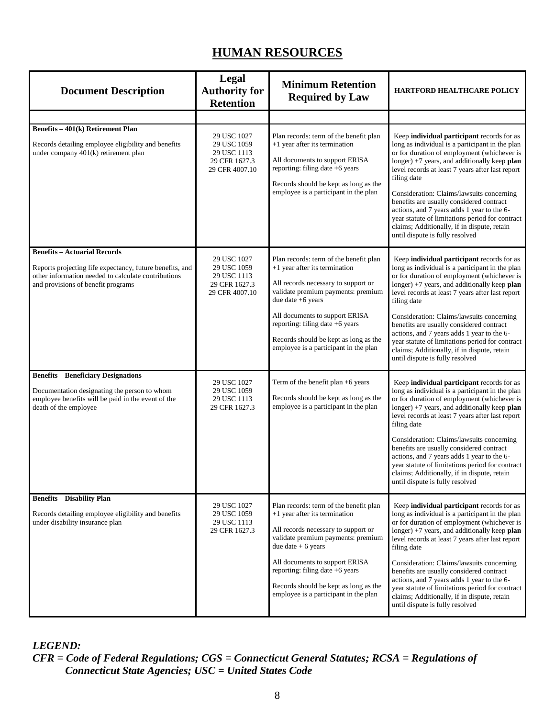## **HUMAN RESOURCES**

<span id="page-12-0"></span>

| <b>Document Description</b>                                                                                                                                               | Legal<br><b>Authority for</b><br><b>Retention</b>                            | <b>Minimum Retention</b><br><b>Required by Law</b>                                                                                                                                                                             | <b>HARTFORD HEALTHCARE POLICY</b>                                                                                                                                                                                                                                                                                                                                                                                                                                                                                                             |
|---------------------------------------------------------------------------------------------------------------------------------------------------------------------------|------------------------------------------------------------------------------|--------------------------------------------------------------------------------------------------------------------------------------------------------------------------------------------------------------------------------|-----------------------------------------------------------------------------------------------------------------------------------------------------------------------------------------------------------------------------------------------------------------------------------------------------------------------------------------------------------------------------------------------------------------------------------------------------------------------------------------------------------------------------------------------|
|                                                                                                                                                                           |                                                                              |                                                                                                                                                                                                                                |                                                                                                                                                                                                                                                                                                                                                                                                                                                                                                                                               |
| Benefits - 401(k) Retirement Plan<br>Records detailing employee eligibility and benefits<br>under company 401(k) retirement plan                                          | 29 USC 1027<br>29 USC 1059<br>29 USC 1113<br>29 CFR 1627.3<br>29 CFR 4007.10 | Plan records: term of the benefit plan<br>+1 year after its termination<br>All documents to support ERISA<br>reporting: filing date +6 years<br>Records should be kept as long as the<br>employee is a participant in the plan | Keep individual participant records for as<br>long as individual is a participant in the plan<br>or for duration of employment (whichever is<br>longer) $+7$ years, and additionally keep plan<br>level records at least 7 years after last report<br>filing date<br>Consideration: Claims/lawsuits concerning<br>benefits are usually considered contract<br>actions, and 7 years adds 1 year to the 6-<br>year statute of limitations period for contract<br>claims; Additionally, if in dispute, retain<br>until dispute is fully resolved |
| <b>Benefits - Actuarial Records</b>                                                                                                                                       |                                                                              |                                                                                                                                                                                                                                |                                                                                                                                                                                                                                                                                                                                                                                                                                                                                                                                               |
| Reports projecting life expectancy, future benefits, and<br>other information needed to calculate contributions<br>and provisions of benefit programs                     | 29 USC 1027<br>29 USC 1059<br>29 USC 1113<br>29 CFR 1627.3<br>29 CFR 4007.10 | Plan records: term of the benefit plan<br>+1 year after its termination<br>All records necessary to support or<br>validate premium payments: premium<br>due date $+6$ years                                                    | Keep individual participant records for as<br>long as individual is a participant in the plan<br>or for duration of employment (whichever is<br>longer) $+7$ years, and additionally keep plan<br>level records at least 7 years after last report<br>filing date                                                                                                                                                                                                                                                                             |
|                                                                                                                                                                           |                                                                              | All documents to support ERISA<br>reporting: filing date +6 years<br>Records should be kept as long as the<br>employee is a participant in the plan                                                                            | Consideration: Claims/lawsuits concerning<br>benefits are usually considered contract<br>actions, and 7 years adds 1 year to the 6-<br>year statute of limitations period for contract<br>claims; Additionally, if in dispute, retain<br>until dispute is fully resolved                                                                                                                                                                                                                                                                      |
| <b>Benefits - Beneficiary Designations</b><br>Documentation designating the person to whom<br>employee benefits will be paid in the event of the<br>death of the employee | 29 USC 1027<br>29 USC 1059<br>29 USC 1113<br>29 CFR 1627.3                   | Term of the benefit plan +6 years<br>Records should be kept as long as the<br>employee is a participant in the plan                                                                                                            | Keep individual participant records for as<br>long as individual is a participant in the plan<br>or for duration of employment (whichever is<br>longer) +7 years, and additionally keep plan<br>level records at least 7 years after last report<br>filing date<br>Consideration: Claims/lawsuits concerning                                                                                                                                                                                                                                  |
|                                                                                                                                                                           |                                                                              |                                                                                                                                                                                                                                | benefits are usually considered contract<br>actions, and 7 years adds 1 year to the 6-<br>year statute of limitations period for contract<br>claims; Additionally, if in dispute, retain<br>until dispute is fully resolved                                                                                                                                                                                                                                                                                                                   |
| <b>Benefits - Disability Plan</b><br>Records detailing employee eligibility and benefits<br>under disability insurance plan                                               | 29 USC 1027<br>29 USC 1059<br>29 USC 1113<br>29 CFR 1627.3                   | Plan records: term of the benefit plan<br>+1 year after its termination<br>All records necessary to support or<br>validate premium payments: premium<br>due date $+6$ years                                                    | Keep individual participant records for as<br>long as individual is a participant in the plan<br>or for duration of employment (whichever is<br>longer) $+7$ years, and additionally keep plan<br>level records at least 7 years after last report<br>filing date                                                                                                                                                                                                                                                                             |
|                                                                                                                                                                           |                                                                              | All documents to support ERISA<br>reporting: filing date $+6$ years<br>Records should be kept as long as the<br>employee is a participant in the plan                                                                          | Consideration: Claims/lawsuits concerning<br>benefits are usually considered contract<br>actions, and 7 years adds 1 year to the 6-<br>year statute of limitations period for contract<br>claims; Additionally, if in dispute, retain<br>until dispute is fully resolved                                                                                                                                                                                                                                                                      |

*LEGEND:*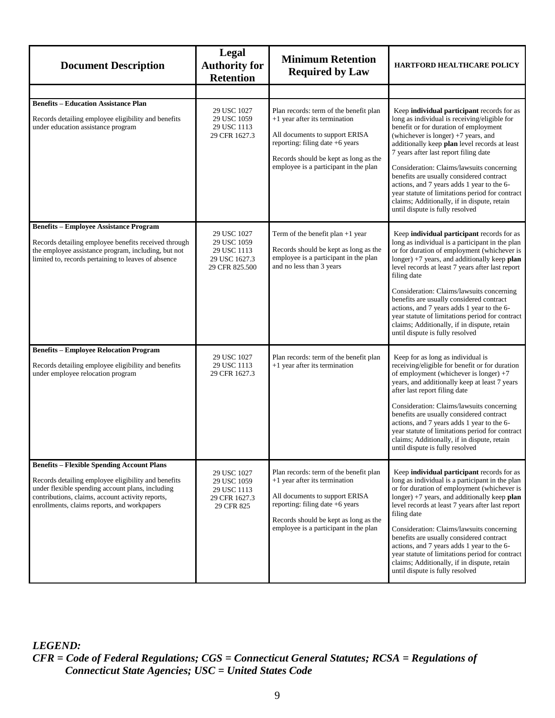| <b>Document Description</b>                                                                                                                                                                                                                                     | Legal<br><b>Authority for</b><br><b>Retention</b>                            | <b>Minimum Retention</b><br><b>Required by Law</b>                                                                                                                                                                                 | <b>HARTFORD HEALTHCARE POLICY</b>                                                                                                                                                                                                                                                                                                                                                                                                                                                                                                                |
|-----------------------------------------------------------------------------------------------------------------------------------------------------------------------------------------------------------------------------------------------------------------|------------------------------------------------------------------------------|------------------------------------------------------------------------------------------------------------------------------------------------------------------------------------------------------------------------------------|--------------------------------------------------------------------------------------------------------------------------------------------------------------------------------------------------------------------------------------------------------------------------------------------------------------------------------------------------------------------------------------------------------------------------------------------------------------------------------------------------------------------------------------------------|
|                                                                                                                                                                                                                                                                 |                                                                              |                                                                                                                                                                                                                                    |                                                                                                                                                                                                                                                                                                                                                                                                                                                                                                                                                  |
| <b>Benefits - Education Assistance Plan</b><br>Records detailing employee eligibility and benefits<br>under education assistance program                                                                                                                        | 29 USC 1027<br>29 USC 1059<br>29 USC 1113<br>29 CFR 1627.3                   | Plan records: term of the benefit plan<br>$+1$ year after its termination<br>All documents to support ERISA<br>reporting: filing date $+6$ years<br>Records should be kept as long as the<br>employee is a participant in the plan | Keep individual participant records for as<br>long as individual is receiving/eligible for<br>benefit or for duration of employment<br>(whichever is longer) +7 years, and<br>additionally keep plan level records at least<br>7 years after last report filing date<br>Consideration: Claims/lawsuits concerning<br>benefits are usually considered contract<br>actions, and 7 years adds 1 year to the 6-<br>year statute of limitations period for contract<br>claims; Additionally, if in dispute, retain<br>until dispute is fully resolved |
| <b>Benefits - Employee Assistance Program</b><br>Records detailing employee benefits received through<br>the employee assistance program, including, but not<br>limited to, records pertaining to leaves of absence                                             | 29 USC 1027<br>29 USC 1059<br>29 USC 1113<br>29 USC 1627.3<br>29 CFR 825.500 | Term of the benefit plan $+1$ year<br>Records should be kept as long as the<br>employee is a participant in the plan<br>and no less than 3 years                                                                                   | Keep individual participant records for as<br>long as individual is a participant in the plan<br>or for duration of employment (whichever is<br>longer) $+7$ years, and additionally keep plan<br>level records at least 7 years after last report<br>filing date<br>Consideration: Claims/lawsuits concerning<br>benefits are usually considered contract<br>actions, and 7 years adds 1 year to the 6-<br>year statute of limitations period for contract<br>claims; Additionally, if in dispute, retain<br>until dispute is fully resolved    |
| <b>Benefits - Employee Relocation Program</b><br>Records detailing employee eligibility and benefits<br>under employee relocation program                                                                                                                       | 29 USC 1027<br>29 USC 1113<br>29 CFR 1627.3                                  | Plan records: term of the benefit plan<br>+1 year after its termination                                                                                                                                                            | Keep for as long as individual is<br>receiving/eligible for benefit or for duration<br>of employment (whichever is longer) $+7$<br>years, and additionally keep at least 7 years<br>after last report filing date<br>Consideration: Claims/lawsuits concerning<br>benefits are usually considered contract<br>actions, and 7 years adds 1 year to the 6-<br>year statute of limitations period for contract<br>claims; Additionally, if in dispute, retain<br>until dispute is fully resolved                                                    |
| <b>Benefits - Flexible Spending Account Plans</b><br>Records detailing employee eligibility and benefits<br>under flexible spending account plans, including<br>contributions, claims, account activity reports,<br>enrollments, claims reports, and workpapers | 29 USC 1027<br>29 USC 1059<br>29 USC 1113<br>29 CFR 1627.3<br>29 CFR 825     | Plan records: term of the benefit plan<br>$+1$ year after its termination<br>All documents to support ERISA<br>reporting: filing date $+6$ years<br>Records should be kept as long as the<br>employee is a participant in the plan | Keep individual participant records for as<br>long as individual is a participant in the plan<br>or for duration of employment (whichever is<br>longer) $+7$ years, and additionally keep plan<br>level records at least 7 years after last report<br>filing date<br>Consideration: Claims/lawsuits concerning<br>benefits are usually considered contract<br>actions, and 7 years adds 1 year to the 6-<br>year statute of limitations period for contract<br>claims; Additionally, if in dispute, retain<br>until dispute is fully resolved    |

*LEGEND: CFR = Code of Federal Regulations; CGS = Connecticut General Statutes; RCSA = Regulations of Connecticut State Agencies; USC = United States Code*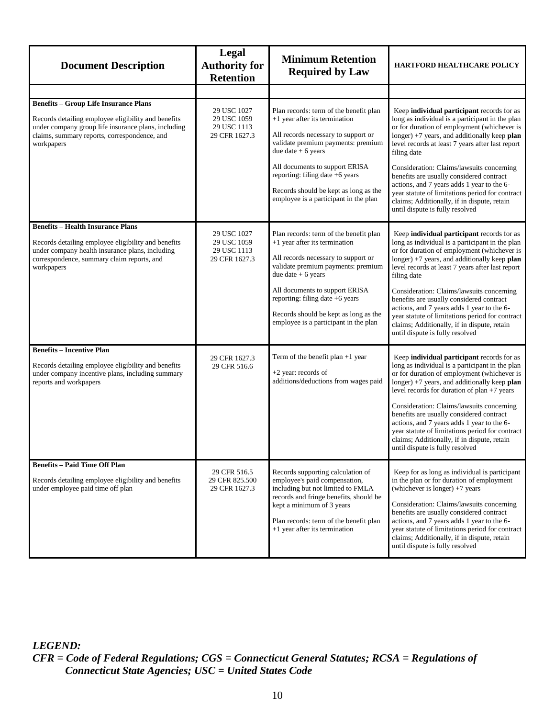| <b>Document Description</b>                                                                                                                                                                                              | <b>Legal</b><br><b>Authority for</b><br><b>Retention</b>   | <b>Minimum Retention</b><br><b>Required by Law</b>                                                                                                                                                                                                                                                                                  | <b>HARTFORD HEALTHCARE POLICY</b>                                                                                                                                                                                                                                                                                                                                                                                                                                                                                                           |
|--------------------------------------------------------------------------------------------------------------------------------------------------------------------------------------------------------------------------|------------------------------------------------------------|-------------------------------------------------------------------------------------------------------------------------------------------------------------------------------------------------------------------------------------------------------------------------------------------------------------------------------------|---------------------------------------------------------------------------------------------------------------------------------------------------------------------------------------------------------------------------------------------------------------------------------------------------------------------------------------------------------------------------------------------------------------------------------------------------------------------------------------------------------------------------------------------|
|                                                                                                                                                                                                                          |                                                            |                                                                                                                                                                                                                                                                                                                                     |                                                                                                                                                                                                                                                                                                                                                                                                                                                                                                                                             |
| <b>Benefits - Group Life Insurance Plans</b><br>Records detailing employee eligibility and benefits<br>under company group life insurance plans, including<br>claims, summary reports, correspondence, and<br>workpapers | 29 USC 1027<br>29 USC 1059<br>29 USC 1113<br>29 CFR 1627.3 | Plan records: term of the benefit plan<br>+1 year after its termination<br>All records necessary to support or<br>validate premium payments: premium<br>due date $+ 6$ years<br>All documents to support ERISA<br>reporting: filing date +6 years<br>Records should be kept as long as the<br>employee is a participant in the plan | Keep individual participant records for as<br>long as individual is a participant in the plan<br>or for duration of employment (whichever is<br>longer) +7 years, and additionally keep plan<br>level records at least 7 years after last report<br>filing date<br>Consideration: Claims/lawsuits concerning<br>benefits are usually considered contract<br>actions, and 7 years adds 1 year to the 6-<br>year statute of limitations period for contract<br>claims; Additionally, if in dispute, retain<br>until dispute is fully resolved |
| <b>Benefits - Health Insurance Plans</b><br>Records detailing employee eligibility and benefits<br>under company health insurance plans, including<br>correspondence, summary claim reports, and<br>workpapers           | 29 USC 1027<br>29 USC 1059<br>29 USC 1113<br>29 CFR 1627.3 | Plan records: term of the benefit plan<br>+1 year after its termination<br>All records necessary to support or<br>validate premium payments: premium<br>due date $+ 6$ years<br>All documents to support ERISA<br>reporting: filing date +6 years<br>Records should be kept as long as the<br>employee is a participant in the plan | Keep individual participant records for as<br>long as individual is a participant in the plan<br>or for duration of employment (whichever is<br>longer) +7 years, and additionally keep plan<br>level records at least 7 years after last report<br>filing date<br>Consideration: Claims/lawsuits concerning<br>benefits are usually considered contract<br>actions, and 7 years adds 1 year to the 6-<br>year statute of limitations period for contract<br>claims; Additionally, if in dispute, retain<br>until dispute is fully resolved |
| <b>Benefits - Incentive Plan</b><br>Records detailing employee eligibility and benefits<br>under company incentive plans, including summary<br>reports and workpapers                                                    | 29 CFR 1627.3<br>29 CFR 516.6                              | Term of the benefit plan $+1$ year<br>+2 year: records of<br>additions/deductions from wages paid                                                                                                                                                                                                                                   | Keep individual participant records for as<br>long as individual is a participant in the plan<br>or for duration of employment (whichever is<br>longer) $+7$ years, and additionally keep plan<br>level records for duration of plan +7 years<br>Consideration: Claims/lawsuits concerning<br>benefits are usually considered contract<br>actions, and 7 years adds 1 year to the 6-<br>year statute of limitations period for contract<br>claims; Additionally, if in dispute, retain<br>until dispute is fully resolved                   |
| <b>Benefits - Paid Time Off Plan</b><br>Records detailing employee eligibility and benefits<br>under employee paid time off plan                                                                                         | 29 CFR 516.5<br>29 CFR 825.500<br>29 CFR 1627.3            | Records supporting calculation of<br>employee's paid compensation,<br>including but not limited to FMLA<br>records and fringe benefits, should be<br>kept a minimum of 3 years<br>Plan records: term of the benefit plan<br>+1 year after its termination                                                                           | Keep for as long as individual is participant<br>in the plan or for duration of employment<br>(whichever is longer) $+7$ years<br>Consideration: Claims/lawsuits concerning<br>benefits are usually considered contract<br>actions, and 7 years adds 1 year to the 6-<br>year statute of limitations period for contract<br>claims; Additionally, if in dispute, retain<br>until dispute is fully resolved                                                                                                                                  |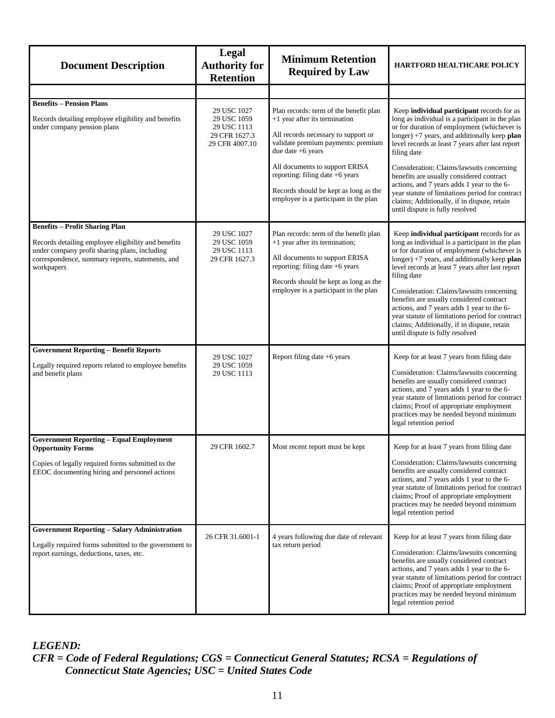<span id="page-15-0"></span>

| <b>Document Description</b>                                                                                                                                                                                     | Legal<br><b>Authority for</b><br><b>Retention</b>                            | <b>Minimum Retention</b><br><b>Required by Law</b>                                                                                                                                                                                                                                                                                 | <b>HARTFORD HEALTHCARE POLICY</b>                                                                                                                                                                                                                                                                                                                                                                                                                                                                                                             |
|-----------------------------------------------------------------------------------------------------------------------------------------------------------------------------------------------------------------|------------------------------------------------------------------------------|------------------------------------------------------------------------------------------------------------------------------------------------------------------------------------------------------------------------------------------------------------------------------------------------------------------------------------|-----------------------------------------------------------------------------------------------------------------------------------------------------------------------------------------------------------------------------------------------------------------------------------------------------------------------------------------------------------------------------------------------------------------------------------------------------------------------------------------------------------------------------------------------|
|                                                                                                                                                                                                                 |                                                                              |                                                                                                                                                                                                                                                                                                                                    |                                                                                                                                                                                                                                                                                                                                                                                                                                                                                                                                               |
| <b>Benefits – Pension Plans</b><br>Records detailing employee eligibility and benefits<br>under company pension plans                                                                                           | 29 USC 1027<br>29 USC 1059<br>29 USC 1113<br>29 CFR 1627.3<br>29 CFR 4007.10 | Plan records: term of the benefit plan<br>+1 year after its termination<br>All records necessary to support or<br>validate premium payments: premium<br>due date $+6$ years<br>All documents to support ERISA<br>reporting: filing date +6 years<br>Records should be kept as long as the<br>employee is a participant in the plan | Keep individual participant records for as<br>long as individual is a participant in the plan<br>or for duration of employment (whichever is<br>longer) $+7$ years, and additionally keep plan<br>level records at least 7 years after last report<br>filing date<br>Consideration: Claims/lawsuits concerning<br>benefits are usually considered contract<br>actions, and 7 years adds 1 year to the 6-<br>year statute of limitations period for contract<br>claims; Additionally, if in dispute, retain<br>until dispute is fully resolved |
| <b>Benefits - Profit Sharing Plan</b><br>Records detailing employee eligibility and benefits<br>under company profit sharing plans, including<br>correspondence, summary reports, statements, and<br>workpapers | 29 USC 1027<br>29 USC 1059<br>29 USC 1113<br>29 CFR 1627.3                   | Plan records: term of the benefit plan<br>+1 year after its termination;<br>All documents to support ERISA<br>reporting: filing date +6 years<br>Records should be kept as long as the<br>employee is a participant in the plan                                                                                                    | Keep individual participant records for as<br>long as individual is a participant in the plan<br>or for duration of employment (whichever is<br>longer) $+7$ years, and additionally keep plan<br>level records at least 7 years after last report<br>filing date<br>Consideration: Claims/lawsuits concerning<br>benefits are usually considered contract<br>actions, and 7 years adds 1 year to the 6-<br>year statute of limitations period for contract<br>claims; Additionally, if in dispute, retain<br>until dispute is fully resolved |
| <b>Government Reporting - Benefit Reports</b><br>Legally required reports related to employee benefits<br>and benefit plans                                                                                     | 29 USC 1027<br>29 USC 1059<br>29 USC 1113                                    | Report filing date +6 years                                                                                                                                                                                                                                                                                                        | Keep for at least 7 years from filing date<br>Consideration: Claims/lawsuits concerning<br>benefits are usually considered contract<br>actions, and 7 years adds 1 year to the 6-<br>year statute of limitations period for contract<br>claims; Proof of appropriate employment<br>practices may be needed beyond minimum<br>legal retention period                                                                                                                                                                                           |
| <b>Government Reporting - Equal Employment</b><br><b>Opportunity Forms</b><br>Copies of legally required forms submitted to the<br>EEOC documenting hiring and personnel actions                                | 29 CFR 1602.7                                                                | Most recent report must be kept                                                                                                                                                                                                                                                                                                    | Keep for at least 7 years from filing date<br>Consideration: Claims/lawsuits concerning<br>benefits are usually considered contract<br>actions, and 7 years adds 1 year to the 6-<br>year statute of limitations period for contract<br>claims; Proof of appropriate employment<br>practices may be needed beyond minimum<br>legal retention period                                                                                                                                                                                           |
| <b>Government Reporting - Salary Administration</b><br>Legally required forms submitted to the government to<br>report earnings, deductions, taxes, etc.                                                        | 26 CFR 31.6001-1                                                             | 4 years following due date of relevant<br>tax return period                                                                                                                                                                                                                                                                        | Keep for at least 7 years from filing date<br>Consideration: Claims/lawsuits concerning<br>benefits are usually considered contract<br>actions, and 7 years adds 1 year to the 6-<br>year statute of limitations period for contract<br>claims; Proof of appropriate employment<br>practices may be needed beyond minimum<br>legal retention period                                                                                                                                                                                           |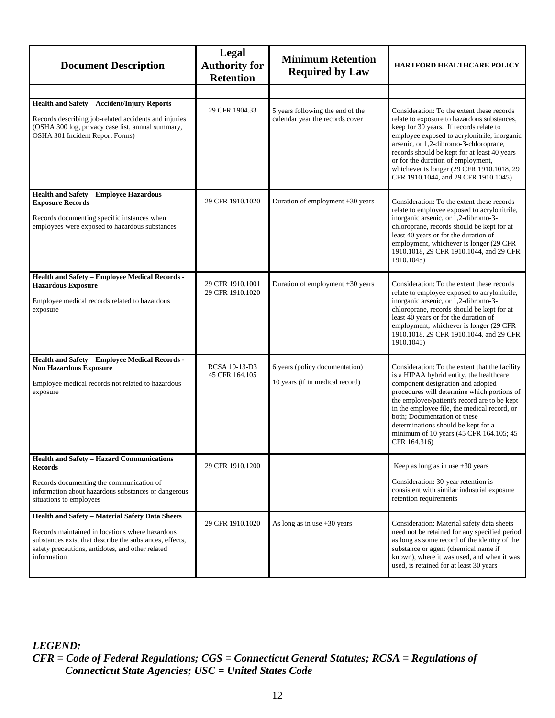<span id="page-16-0"></span>

| <b>Document Description</b>                                                                                                                                                                                                      | Legal<br><b>Authority for</b><br><b>Retention</b> | <b>Minimum Retention</b><br><b>Required by Law</b>                  | <b>HARTFORD HEALTHCARE POLICY</b>                                                                                                                                                                                                                                                                                                                                                                                |
|----------------------------------------------------------------------------------------------------------------------------------------------------------------------------------------------------------------------------------|---------------------------------------------------|---------------------------------------------------------------------|------------------------------------------------------------------------------------------------------------------------------------------------------------------------------------------------------------------------------------------------------------------------------------------------------------------------------------------------------------------------------------------------------------------|
|                                                                                                                                                                                                                                  |                                                   |                                                                     |                                                                                                                                                                                                                                                                                                                                                                                                                  |
| Health and Safety - Accident/Injury Reports<br>Records describing job-related accidents and injuries<br>(OSHA 300 log, privacy case list, annual summary,<br>OSHA 301 Incident Report Forms)                                     | 29 CFR 1904.33                                    | 5 years following the end of the<br>calendar year the records cover | Consideration: To the extent these records<br>relate to exposure to hazardous substances,<br>keep for 30 years. If records relate to<br>employee exposed to acrylonitrile, inorganic<br>arsenic, or 1,2-dibromo-3-chloroprane,<br>records should be kept for at least 40 years<br>or for the duration of employment,<br>whichever is longer (29 CFR 1910.1018, 29<br>CFR 1910.1044, and 29 CFR 1910.1045)        |
| <b>Health and Safety - Employee Hazardous</b><br><b>Exposure Records</b><br>Records documenting specific instances when<br>employees were exposed to hazardous substances                                                        | 29 CFR 1910.1020                                  | Duration of employment $+30$ years                                  | Consideration: To the extent these records<br>relate to employee exposed to acrylonitrile,<br>inorganic arsenic, or 1,2-dibromo-3-<br>chloroprane, records should be kept for at<br>least 40 years or for the duration of<br>employment, whichever is longer (29 CFR)<br>1910.1018, 29 CFR 1910.1044, and 29 CFR<br>1910.1045)                                                                                   |
| <b>Health and Safety - Employee Medical Records -</b><br><b>Hazardous Exposure</b><br>Employee medical records related to hazardous<br>exposure                                                                                  | 29 CFR 1910.1001<br>29 CFR 1910.1020              | Duration of employment $+30$ years                                  | Consideration: To the extent these records<br>relate to employee exposed to acrylonitrile,<br>inorganic arsenic, or 1,2-dibromo-3-<br>chloroprane, records should be kept for at<br>least 40 years or for the duration of<br>employment, whichever is longer (29 CFR<br>1910.1018, 29 CFR 1910.1044, and 29 CFR<br>1910.1045)                                                                                    |
| Health and Safety - Employee Medical Records -<br><b>Non Hazardous Exposure</b><br>Employee medical records not related to hazardous<br>exposure                                                                                 | RCSA 19-13-D3<br>45 CFR 164.105                   | 6 years (policy documentation)<br>10 years (if in medical record)   | Consideration: To the extent that the facility<br>is a HIPAA hybrid entity, the healthcare<br>component designation and adopted<br>procedures will determine which portions of<br>the employee/patient's record are to be kept<br>in the employee file, the medical record, or<br>both; Documentation of these<br>determinations should be kept for a<br>minimum of 10 years (45 CFR 164.105; 45<br>CFR 164.316) |
| <b>Health and Safety - Hazard Communications</b><br><b>Records</b><br>Records documenting the communication of<br>information about hazardous substances or dangerous<br>situations to employees                                 | 29 CFR 1910.1200                                  |                                                                     | Keep as long as in use $+30$ years<br>Consideration: 30-year retention is<br>consistent with similar industrial exposure<br>retention requirements                                                                                                                                                                                                                                                               |
| Health and Safety - Material Safety Data Sheets<br>Records maintained in locations where hazardous<br>substances exist that describe the substances, effects,<br>safety precautions, antidotes, and other related<br>information | 29 CFR 1910.1020                                  | As long as in use $+30$ years                                       | Consideration: Material safety data sheets<br>need not be retained for any specified period<br>as long as some record of the identity of the<br>substance or agent (chemical name if<br>known), where it was used, and when it was<br>used, is retained for at least 30 years                                                                                                                                    |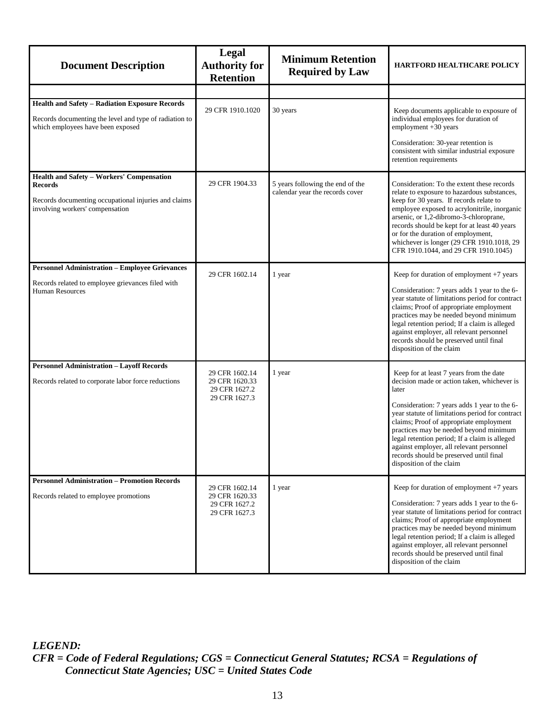<span id="page-17-0"></span>

| <b>Document Description</b>                                                                                                                          | <b>Legal</b><br><b>Authority for</b><br><b>Retention</b>           | <b>Minimum Retention</b><br><b>Required by Law</b>                  | <b>HARTFORD HEALTHCARE POLICY</b>                                                                                                                                                                                                                                                                                                                                                                                                                           |
|------------------------------------------------------------------------------------------------------------------------------------------------------|--------------------------------------------------------------------|---------------------------------------------------------------------|-------------------------------------------------------------------------------------------------------------------------------------------------------------------------------------------------------------------------------------------------------------------------------------------------------------------------------------------------------------------------------------------------------------------------------------------------------------|
|                                                                                                                                                      |                                                                    |                                                                     |                                                                                                                                                                                                                                                                                                                                                                                                                                                             |
| <b>Health and Safety - Radiation Exposure Records</b><br>Records documenting the level and type of radiation to<br>which employees have been exposed | 29 CFR 1910.1020                                                   | 30 years                                                            | Keep documents applicable to exposure of<br>individual employees for duration of<br>employment +30 years<br>Consideration: 30-year retention is<br>consistent with similar industrial exposure<br>retention requirements                                                                                                                                                                                                                                    |
| Health and Safety - Workers' Compensation<br>Records<br>Records documenting occupational injuries and claims<br>involving workers' compensation      | 29 CFR 1904.33                                                     | 5 years following the end of the<br>calendar year the records cover | Consideration: To the extent these records<br>relate to exposure to hazardous substances,<br>keep for 30 years. If records relate to<br>employee exposed to acrylonitrile, inorganic<br>arsenic, or 1,2-dibromo-3-chloroprane,<br>records should be kept for at least 40 years<br>or for the duration of employment,<br>whichever is longer (29 CFR 1910.1018, 29<br>CFR 1910.1044, and 29 CFR 1910.1045)                                                   |
| <b>Personnel Administration - Employee Grievances</b><br>Records related to employee grievances filed with<br><b>Human Resources</b>                 | 29 CFR 1602.14                                                     | 1 year                                                              | Keep for duration of employment +7 years<br>Consideration: 7 years adds 1 year to the 6-<br>year statute of limitations period for contract<br>claims; Proof of appropriate employment<br>practices may be needed beyond minimum<br>legal retention period; If a claim is alleged<br>against employer, all relevant personnel<br>records should be preserved until final<br>disposition of the claim                                                        |
| <b>Personnel Administration - Layoff Records</b><br>Records related to corporate labor force reductions                                              | 29 CFR 1602.14<br>29 CFR 1620.33<br>29 CFR 1627.2<br>29 CFR 1627.3 | 1 year                                                              | Keep for at least 7 years from the date<br>decision made or action taken, whichever is<br>later<br>Consideration: 7 years adds 1 year to the 6-<br>year statute of limitations period for contract<br>claims; Proof of appropriate employment<br>practices may be needed beyond minimum<br>legal retention period; If a claim is alleged<br>against employer, all relevant personnel<br>records should be preserved until final<br>disposition of the claim |
| <b>Personnel Administration - Promotion Records</b><br>Records related to employee promotions                                                        | 29 CFR 1602.14<br>29 CFR 1620.33<br>29 CFR 1627.2<br>29 CFR 1627.3 | 1 year                                                              | Keep for duration of employment +7 years<br>Consideration: 7 years adds 1 year to the 6-<br>year statute of limitations period for contract<br>claims; Proof of appropriate employment<br>practices may be needed beyond minimum<br>legal retention period; If a claim is alleged<br>against employer, all relevant personnel<br>records should be preserved until final<br>disposition of the claim                                                        |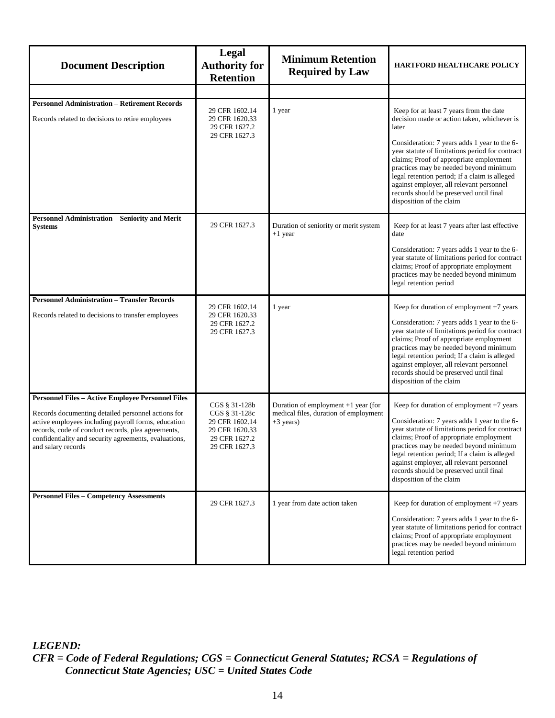<span id="page-18-0"></span>

| <b>Document Description</b>                                                                                                                                                                                                                                                                                | Legal<br><b>Authority for</b><br><b>Retention</b>                                                    | <b>Minimum Retention</b><br><b>Required by Law</b>                                            | HARTFORD HEALTHCARE POLICY                                                                                                                                                                                                                                                                                                                                                                                                                                  |
|------------------------------------------------------------------------------------------------------------------------------------------------------------------------------------------------------------------------------------------------------------------------------------------------------------|------------------------------------------------------------------------------------------------------|-----------------------------------------------------------------------------------------------|-------------------------------------------------------------------------------------------------------------------------------------------------------------------------------------------------------------------------------------------------------------------------------------------------------------------------------------------------------------------------------------------------------------------------------------------------------------|
|                                                                                                                                                                                                                                                                                                            |                                                                                                      |                                                                                               |                                                                                                                                                                                                                                                                                                                                                                                                                                                             |
| <b>Personnel Administration - Retirement Records</b><br>Records related to decisions to retire employees                                                                                                                                                                                                   | 29 CFR 1602.14<br>29 CFR 1620.33<br>29 CFR 1627.2<br>29 CFR 1627.3                                   | 1 year                                                                                        | Keep for at least 7 years from the date<br>decision made or action taken, whichever is<br>later<br>Consideration: 7 years adds 1 year to the 6-<br>year statute of limitations period for contract<br>claims; Proof of appropriate employment<br>practices may be needed beyond minimum<br>legal retention period; If a claim is alleged<br>against employer, all relevant personnel<br>records should be preserved until final<br>disposition of the claim |
| <b>Personnel Administration - Seniority and Merit</b><br><b>Systems</b>                                                                                                                                                                                                                                    | 29 CFR 1627.3                                                                                        | Duration of seniority or merit system<br>$+1$ year                                            | Keep for at least 7 years after last effective<br>date<br>Consideration: 7 years adds 1 year to the 6-<br>year statute of limitations period for contract<br>claims; Proof of appropriate employment<br>practices may be needed beyond minimum<br>legal retention period                                                                                                                                                                                    |
| <b>Personnel Administration - Transfer Records</b><br>Records related to decisions to transfer employees                                                                                                                                                                                                   | 29 CFR 1602.14<br>29 CFR 1620.33<br>29 CFR 1627.2<br>29 CFR 1627.3                                   | 1 year                                                                                        | Keep for duration of employment $+7$ years<br>Consideration: 7 years adds 1 year to the 6-<br>year statute of limitations period for contract<br>claims; Proof of appropriate employment<br>practices may be needed beyond minimum<br>legal retention period; If a claim is alleged<br>against employer, all relevant personnel<br>records should be preserved until final<br>disposition of the claim                                                      |
| <b>Personnel Files - Active Employee Personnel Files</b><br>Records documenting detailed personnel actions for<br>active employees including payroll forms, education<br>records, code of conduct records, plea agreements,<br>confidentiality and security agreements, evaluations,<br>and salary records | CGS § 31-128b<br>CGS § 31-128c<br>29 CFR 1602.14<br>29 CFR 1620.33<br>29 CFR 1627.2<br>29 CFR 1627.3 | Duration of employment $+1$ year (for<br>medical files, duration of employment<br>$+3$ years) | Keep for duration of employment $+7$ years<br>Consideration: 7 years adds 1 year to the 6-<br>year statute of limitations period for contract<br>claims; Proof of appropriate employment<br>practices may be needed beyond minimum<br>legal retention period; If a claim is alleged<br>against employer, all relevant personnel<br>records should be preserved until final<br>disposition of the claim                                                      |
| <b>Personnel Files - Competency Assessments</b>                                                                                                                                                                                                                                                            | 29 CFR 1627.3                                                                                        | 1 year from date action taken                                                                 | Keep for duration of employment +7 years<br>Consideration: 7 years adds 1 year to the 6-<br>year statute of limitations period for contract<br>claims; Proof of appropriate employment<br>practices may be needed beyond minimum<br>legal retention period                                                                                                                                                                                                  |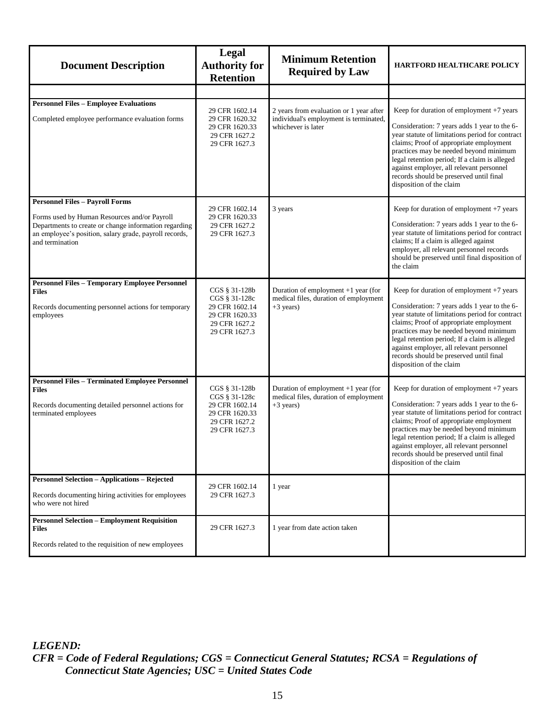| <b>Document Description</b>                                                                                                                                                                                                  | Legal<br><b>Authority for</b><br><b>Retention</b>                                                    | <b>Minimum Retention</b><br><b>Required by Law</b>                                                      | HARTFORD HEALTHCARE POLICY                                                                                                                                                                                                                                                                                                                                                                           |
|------------------------------------------------------------------------------------------------------------------------------------------------------------------------------------------------------------------------------|------------------------------------------------------------------------------------------------------|---------------------------------------------------------------------------------------------------------|------------------------------------------------------------------------------------------------------------------------------------------------------------------------------------------------------------------------------------------------------------------------------------------------------------------------------------------------------------------------------------------------------|
|                                                                                                                                                                                                                              |                                                                                                      |                                                                                                         |                                                                                                                                                                                                                                                                                                                                                                                                      |
| <b>Personnel Files - Employee Evaluations</b><br>Completed employee performance evaluation forms                                                                                                                             | 29 CFR 1602.14<br>29 CFR 1620.32<br>29 CFR 1620.33<br>29 CFR 1627.2<br>29 CFR 1627.3                 | 2 years from evaluation or 1 year after<br>individual's employment is terminated,<br>whichever is later | Keep for duration of employment +7 years<br>Consideration: 7 years adds 1 year to the 6-<br>year statute of limitations period for contract<br>claims; Proof of appropriate employment<br>practices may be needed beyond minimum<br>legal retention period; If a claim is alleged<br>against employer, all relevant personnel<br>records should be preserved until final<br>disposition of the claim |
| <b>Personnel Files - Payroll Forms</b><br>Forms used by Human Resources and/or Payroll<br>Departments to create or change information regarding<br>an employee's position, salary grade, payroll records,<br>and termination | 29 CFR 1602.14<br>29 CFR 1620.33<br>29 CFR 1627.2<br>29 CFR 1627.3                                   | 3 years                                                                                                 | Keep for duration of employment +7 years<br>Consideration: 7 years adds 1 year to the 6-<br>year statute of limitations period for contract<br>claims; If a claim is alleged against<br>employer, all relevant personnel records<br>should be preserved until final disposition of<br>the claim                                                                                                      |
| <b>Personnel Files - Temporary Employee Personnel</b><br><b>Files</b><br>Records documenting personnel actions for temporary<br>employees                                                                                    | CGS § 31-128b<br>CGS § 31-128c<br>29 CFR 1602.14<br>29 CFR 1620.33<br>29 CFR 1627.2<br>29 CFR 1627.3 | Duration of employment $+1$ year (for<br>medical files, duration of employment<br>$+3$ years)           | Keep for duration of employment +7 years<br>Consideration: 7 years adds 1 year to the 6-<br>year statute of limitations period for contract<br>claims; Proof of appropriate employment<br>practices may be needed beyond minimum<br>legal retention period; If a claim is alleged<br>against employer, all relevant personnel<br>records should be preserved until final<br>disposition of the claim |
| <b>Personnel Files - Terminated Employee Personnel</b><br><b>Files</b><br>Records documenting detailed personnel actions for<br>terminated employees                                                                         | CGS § 31-128b<br>CGS § 31-128c<br>29 CFR 1602.14<br>29 CFR 1620.33<br>29 CFR 1627.2<br>29 CFR 1627.3 | Duration of employment +1 year (for<br>medical files, duration of employment<br>$+3$ years)             | Keep for duration of employment +7 years<br>Consideration: 7 years adds 1 year to the 6-<br>year statute of limitations period for contract<br>claims; Proof of appropriate employment<br>practices may be needed beyond minimum<br>legal retention period; If a claim is alleged<br>against employer, all relevant personnel<br>records should be preserved until final<br>disposition of the claim |
| <b>Personnel Selection - Applications - Rejected</b><br>Records documenting hiring activities for employees<br>who were not hired                                                                                            | 29 CFR 1602.14<br>29 CFR 1627.3                                                                      | 1 year                                                                                                  |                                                                                                                                                                                                                                                                                                                                                                                                      |
| <b>Personnel Selection - Employment Requisition</b><br><b>Files</b><br>Records related to the requisition of new employees                                                                                                   | 29 CFR 1627.3                                                                                        | 1 year from date action taken                                                                           |                                                                                                                                                                                                                                                                                                                                                                                                      |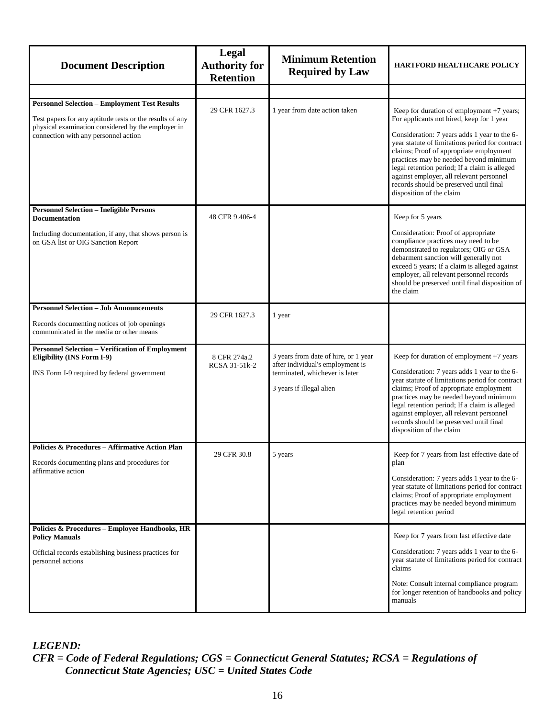| <b>Document Description</b>                                                                                                                 | Legal<br><b>Authority for</b><br><b>Retention</b> | <b>Minimum Retention</b><br><b>Required by Law</b>                                                                                     | <b>HARTFORD HEALTHCARE POLICY</b>                                                                                                                                                                                                                                                                                                                                                                    |
|---------------------------------------------------------------------------------------------------------------------------------------------|---------------------------------------------------|----------------------------------------------------------------------------------------------------------------------------------------|------------------------------------------------------------------------------------------------------------------------------------------------------------------------------------------------------------------------------------------------------------------------------------------------------------------------------------------------------------------------------------------------------|
|                                                                                                                                             |                                                   |                                                                                                                                        |                                                                                                                                                                                                                                                                                                                                                                                                      |
| <b>Personnel Selection - Employment Test Results</b><br>Test papers for any aptitude tests or the results of any                            | 29 CFR 1627.3                                     | 1 year from date action taken                                                                                                          | Keep for duration of employment +7 years;<br>For applicants not hired, keep for 1 year                                                                                                                                                                                                                                                                                                               |
| physical examination considered by the employer in<br>connection with any personnel action                                                  |                                                   |                                                                                                                                        | Consideration: 7 years adds 1 year to the 6-<br>year statute of limitations period for contract<br>claims; Proof of appropriate employment<br>practices may be needed beyond minimum<br>legal retention period; If a claim is alleged<br>against employer, all relevant personnel<br>records should be preserved until final<br>disposition of the claim                                             |
| <b>Personnel Selection - Ineligible Persons</b><br><b>Documentation</b>                                                                     | 48 CFR 9.406-4                                    |                                                                                                                                        | Keep for 5 years                                                                                                                                                                                                                                                                                                                                                                                     |
| Including documentation, if any, that shows person is<br>on GSA list or OIG Sanction Report                                                 |                                                   |                                                                                                                                        | Consideration: Proof of appropriate<br>compliance practices may need to be<br>demonstrated to regulators; OIG or GSA<br>debarment sanction will generally not<br>exceed 5 years; If a claim is alleged against<br>employer, all relevant personnel records<br>should be preserved until final disposition of<br>the claim                                                                            |
| <b>Personnel Selection - Job Announcements</b>                                                                                              | 29 CFR 1627.3                                     | 1 year                                                                                                                                 |                                                                                                                                                                                                                                                                                                                                                                                                      |
| Records documenting notices of job openings<br>communicated in the media or other means                                                     |                                                   |                                                                                                                                        |                                                                                                                                                                                                                                                                                                                                                                                                      |
| <b>Personnel Selection - Verification of Employment</b><br><b>Eligibility (INS Form I-9)</b><br>INS Form I-9 required by federal government | 8 CFR 274a.2<br>RCSA 31-51k-2                     | 3 years from date of hire, or 1 year<br>after individual's employment is<br>terminated, whichever is later<br>3 years if illegal alien | Keep for duration of employment +7 years<br>Consideration: 7 years adds 1 year to the 6-<br>year statute of limitations period for contract<br>claims; Proof of appropriate employment<br>practices may be needed beyond minimum<br>legal retention period; If a claim is alleged<br>against employer, all relevant personnel<br>records should be preserved until final<br>disposition of the claim |
| <b>Policies &amp; Procedures - Affirmative Action Plan</b>                                                                                  | 29 CFR 30.8                                       | 5 years                                                                                                                                | Keep for 7 years from last effective date of                                                                                                                                                                                                                                                                                                                                                         |
| Records documenting plans and procedures for<br>affirmative action                                                                          |                                                   |                                                                                                                                        | plan<br>Consideration: 7 years adds 1 year to the 6-<br>year statute of limitations period for contract<br>claims; Proof of appropriate employment<br>practices may be needed beyond minimum<br>legal retention period                                                                                                                                                                               |
| Policies & Procedures - Employee Handbooks, HR<br><b>Policy Manuals</b>                                                                     |                                                   |                                                                                                                                        | Keep for 7 years from last effective date                                                                                                                                                                                                                                                                                                                                                            |
| Official records establishing business practices for<br>personnel actions                                                                   |                                                   |                                                                                                                                        | Consideration: 7 years adds 1 year to the 6-<br>year statute of limitations period for contract<br>claims                                                                                                                                                                                                                                                                                            |
|                                                                                                                                             |                                                   |                                                                                                                                        | Note: Consult internal compliance program<br>for longer retention of handbooks and policy<br>manuals                                                                                                                                                                                                                                                                                                 |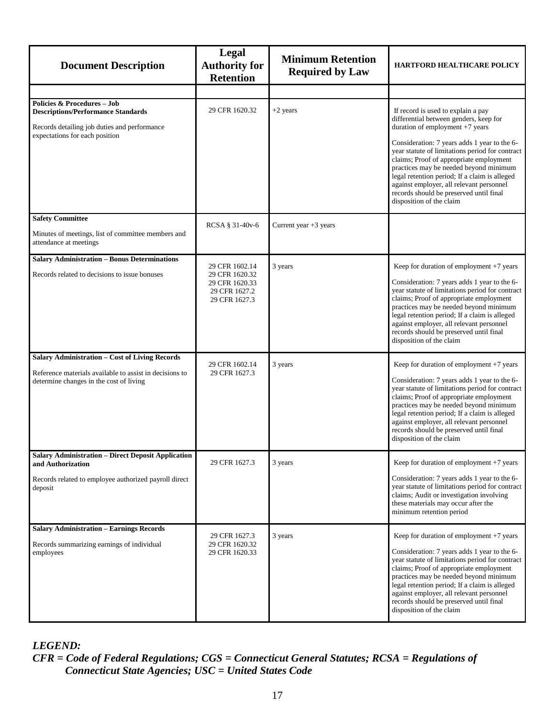| <b>Document Description</b>                                                                             | Legal<br><b>Authority for</b><br><b>Retention</b>                                    | <b>Minimum Retention</b><br><b>Required by Law</b> | <b>HARTFORD HEALTHCARE POLICY</b>                                                                                                                                                                                                                                                                                                                                                                    |
|---------------------------------------------------------------------------------------------------------|--------------------------------------------------------------------------------------|----------------------------------------------------|------------------------------------------------------------------------------------------------------------------------------------------------------------------------------------------------------------------------------------------------------------------------------------------------------------------------------------------------------------------------------------------------------|
|                                                                                                         |                                                                                      |                                                    |                                                                                                                                                                                                                                                                                                                                                                                                      |
| Policies & Procedures - Job<br><b>Descriptions/Performance Standards</b>                                | 29 CFR 1620.32                                                                       | $+2$ years                                         | If record is used to explain a pay<br>differential between genders, keep for                                                                                                                                                                                                                                                                                                                         |
| Records detailing job duties and performance<br>expectations for each position                          |                                                                                      |                                                    | duration of employment +7 years<br>Consideration: 7 years adds 1 year to the 6-<br>year statute of limitations period for contract<br>claims; Proof of appropriate employment<br>practices may be needed beyond minimum<br>legal retention period; If a claim is alleged<br>against employer, all relevant personnel<br>records should be preserved until final<br>disposition of the claim          |
| <b>Safety Committee</b><br>Minutes of meetings, list of committee members and<br>attendance at meetings | RCSA § 31-40v-6                                                                      | Current year $+3$ years                            |                                                                                                                                                                                                                                                                                                                                                                                                      |
| <b>Salary Administration - Bonus Determinations</b>                                                     |                                                                                      |                                                    |                                                                                                                                                                                                                                                                                                                                                                                                      |
| Records related to decisions to issue bonuses                                                           | 29 CFR 1602.14<br>29 CFR 1620.32<br>29 CFR 1620.33<br>29 CFR 1627.2<br>29 CFR 1627.3 | 3 years                                            | Keep for duration of employment +7 years<br>Consideration: 7 years adds 1 year to the 6-<br>year statute of limitations period for contract<br>claims; Proof of appropriate employment<br>practices may be needed beyond minimum<br>legal retention period; If a claim is alleged<br>against employer, all relevant personnel<br>records should be preserved until final<br>disposition of the claim |
| Salary Administration - Cost of Living Records                                                          |                                                                                      |                                                    |                                                                                                                                                                                                                                                                                                                                                                                                      |
| Reference materials available to assist in decisions to<br>determine changes in the cost of living      | 29 CFR 1602.14<br>29 CFR 1627.3                                                      | 3 years                                            | Keep for duration of employment +7 years<br>Consideration: 7 years adds 1 year to the 6-<br>year statute of limitations period for contract<br>claims; Proof of appropriate employment<br>practices may be needed beyond minimum<br>legal retention period; If a claim is alleged<br>against employer, all relevant personnel<br>records should be preserved until final<br>disposition of the claim |
| <b>Salary Administration - Direct Deposit Application</b><br>and Authorization                          | 29 CFR 1627.3                                                                        | 3 years                                            | Keep for duration of employment +7 years                                                                                                                                                                                                                                                                                                                                                             |
| Records related to employee authorized payroll direct<br>deposit                                        |                                                                                      |                                                    | Consideration: 7 years adds 1 year to the 6-<br>year statute of limitations period for contract<br>claims; Audit or investigation involving<br>these materials may occur after the<br>minimum retention period                                                                                                                                                                                       |
| <b>Salary Administration - Earnings Records</b>                                                         |                                                                                      |                                                    | Keep for duration of employment +7 years                                                                                                                                                                                                                                                                                                                                                             |
| Records summarizing earnings of individual<br>employees                                                 | 29 CFR 1627.3<br>29 CFR 1620.32<br>29 CFR 1620.33                                    | 3 years                                            | Consideration: 7 years adds 1 year to the 6-<br>year statute of limitations period for contract<br>claims; Proof of appropriate employment<br>practices may be needed beyond minimum<br>legal retention period; If a claim is alleged<br>against employer, all relevant personnel<br>records should be preserved until final<br>disposition of the claim                                             |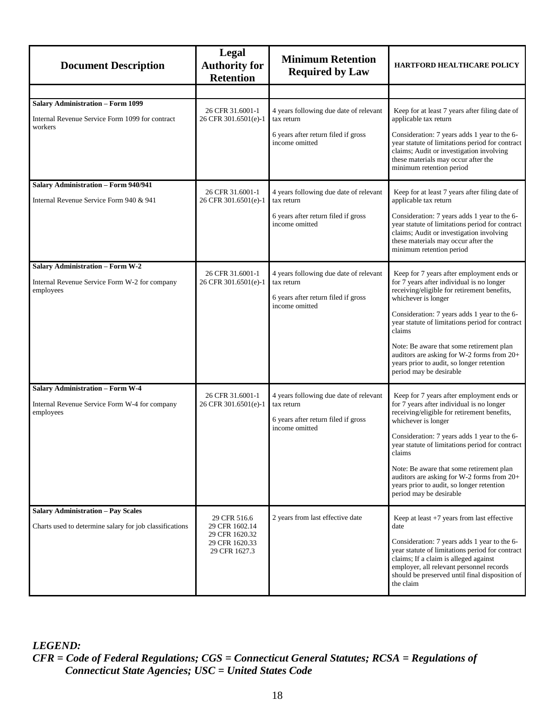| <b>Document Description</b>                                                                            | <b>Legal</b><br><b>Authority for</b><br><b>Retention</b> | <b>Minimum Retention</b><br><b>Required by Law</b>                                          | <b>HARTFORD HEALTHCARE POLICY</b>                                                                                                                                                                                                                   |
|--------------------------------------------------------------------------------------------------------|----------------------------------------------------------|---------------------------------------------------------------------------------------------|-----------------------------------------------------------------------------------------------------------------------------------------------------------------------------------------------------------------------------------------------------|
|                                                                                                        |                                                          |                                                                                             |                                                                                                                                                                                                                                                     |
| <b>Salary Administration - Form 1099</b><br>Internal Revenue Service Form 1099 for contract<br>workers | 26 CFR 31.6001-1<br>26 CFR 301.6501(e)-1                 | 4 years following due date of relevant<br>tax return                                        | Keep for at least 7 years after filing date of<br>applicable tax return                                                                                                                                                                             |
|                                                                                                        |                                                          | 6 years after return filed if gross<br>income omitted                                       | Consideration: 7 years adds 1 year to the 6-<br>year statute of limitations period for contract<br>claims; Audit or investigation involving<br>these materials may occur after the<br>minimum retention period                                      |
| Salary Administration - Form 940/941                                                                   |                                                          |                                                                                             |                                                                                                                                                                                                                                                     |
| Internal Revenue Service Form 940 & 941                                                                | 26 CFR 31.6001-1<br>26 CFR 301.6501(e)-1                 | 4 years following due date of relevant<br>tax return                                        | Keep for at least 7 years after filing date of<br>applicable tax return                                                                                                                                                                             |
|                                                                                                        |                                                          | 6 years after return filed if gross<br>income omitted                                       | Consideration: 7 years adds 1 year to the 6-<br>year statute of limitations period for contract<br>claims; Audit or investigation involving<br>these materials may occur after the<br>minimum retention period                                      |
| <b>Salary Administration - Form W-2</b>                                                                |                                                          |                                                                                             |                                                                                                                                                                                                                                                     |
| Internal Revenue Service Form W-2 for company<br>employees                                             | 26 CFR 31.6001-1<br>26 CFR 301.6501(e)-1                 | 4 years following due date of relevant<br>tax return<br>6 years after return filed if gross | Keep for 7 years after employment ends or<br>for 7 years after individual is no longer<br>receiving/eligible for retirement benefits,<br>whichever is longer                                                                                        |
|                                                                                                        |                                                          | income omitted                                                                              | Consideration: 7 years adds 1 year to the 6-<br>year statute of limitations period for contract<br>claims                                                                                                                                           |
|                                                                                                        |                                                          |                                                                                             | Note: Be aware that some retirement plan<br>auditors are asking for W-2 forms from 20+<br>years prior to audit, so longer retention<br>period may be desirable                                                                                      |
| Salary Administration - Form W-4                                                                       | 26 CFR 31.6001-1                                         | 4 years following due date of relevant                                                      | Keep for 7 years after employment ends or                                                                                                                                                                                                           |
| Internal Revenue Service Form W-4 for company<br>employees                                             | 26 CFR 301.6501(e)-1                                     | tax return<br>6 years after return filed if gross                                           | for 7 years after individual is no longer<br>receiving/eligible for retirement benefits,<br>whichever is longer                                                                                                                                     |
|                                                                                                        |                                                          | income omitted                                                                              | Consideration: 7 years adds 1 year to the 6-<br>year statute of limitations period for contract<br>claims                                                                                                                                           |
|                                                                                                        |                                                          |                                                                                             | Note: Be aware that some retirement plan<br>auditors are asking for W-2 forms from 20+<br>years prior to audit, so longer retention<br>period may be desirable                                                                                      |
| <b>Salary Administration - Pay Scales</b>                                                              |                                                          | 2 years from last effective date                                                            | Keep at least $+7$ years from last effective                                                                                                                                                                                                        |
| Charts used to determine salary for job classifications                                                | 29 CFR 516.6<br>29 CFR 1602.14<br>29 CFR 1620.32         |                                                                                             | date                                                                                                                                                                                                                                                |
|                                                                                                        | 29 CFR 1620.33<br>29 CFR 1627.3                          |                                                                                             | Consideration: 7 years adds 1 year to the 6-<br>year statute of limitations period for contract<br>claims; If a claim is alleged against<br>employer, all relevant personnel records<br>should be preserved until final disposition of<br>the claim |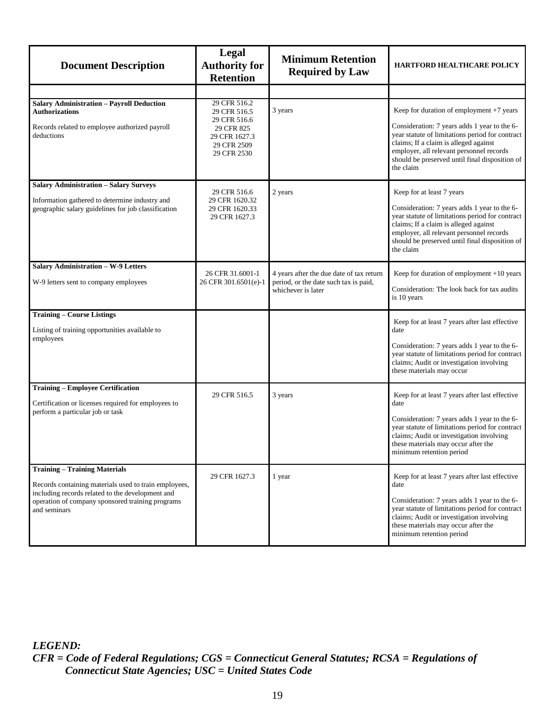| <b>Document Description</b>                                                                                                                                                                                           | Legal<br><b>Authority for</b><br><b>Retention</b>                         | <b>Minimum Retention</b><br><b>Required by Law</b>                                                      | <b>HARTFORD HEALTHCARE POLICY</b>                                                                                                                                                                                                                                                |
|-----------------------------------------------------------------------------------------------------------------------------------------------------------------------------------------------------------------------|---------------------------------------------------------------------------|---------------------------------------------------------------------------------------------------------|----------------------------------------------------------------------------------------------------------------------------------------------------------------------------------------------------------------------------------------------------------------------------------|
|                                                                                                                                                                                                                       |                                                                           |                                                                                                         |                                                                                                                                                                                                                                                                                  |
| <b>Salary Administration - Payroll Deduction</b><br><b>Authorizations</b>                                                                                                                                             | 29 CFR 516.2<br>29 CFR 516.5                                              | 3 years                                                                                                 | Keep for duration of employment +7 years                                                                                                                                                                                                                                         |
| Records related to employee authorized payroll<br>deductions                                                                                                                                                          | 29 CFR 516.6<br>29 CFR 825<br>29 CFR 1627.3<br>29 CFR 2509<br>29 CFR 2530 |                                                                                                         | Consideration: 7 years adds 1 year to the 6-<br>year statute of limitations period for contract<br>claims; If a claim is alleged against<br>employer, all relevant personnel records<br>should be preserved until final disposition of<br>the claim                              |
| <b>Salary Administration - Salary Surveys</b><br>Information gathered to determine industry and<br>geographic salary guidelines for job classification                                                                | 29 CFR 516.6<br>29 CFR 1620.32<br>29 CFR 1620.33<br>29 CFR 1627.3         | 2 years                                                                                                 | Keep for at least 7 years<br>Consideration: 7 years adds 1 year to the 6-<br>year statute of limitations period for contract<br>claims; If a claim is alleged against<br>employer, all relevant personnel records<br>should be preserved until final disposition of<br>the claim |
| Salary Administration - W-9 Letters<br>W-9 letters sent to company employees                                                                                                                                          | 26 CFR 31.6001-1<br>26 CFR 301.6501(e)-1                                  | 4 years after the due date of tax return<br>period, or the date such tax is paid,<br>whichever is later | Keep for duration of employment +10 years<br>Consideration: The look back for tax audits<br>is 10 years                                                                                                                                                                          |
| <b>Training - Course Listings</b><br>Listing of training opportunities available to<br>employees                                                                                                                      |                                                                           |                                                                                                         | Keep for at least 7 years after last effective<br>date<br>Consideration: 7 years adds 1 year to the 6-<br>year statute of limitations period for contract<br>claims; Audit or investigation involving<br>these materials may occur                                               |
| <b>Training - Employee Certification</b><br>Certification or licenses required for employees to<br>perform a particular job or task                                                                                   | 29 CFR 516.5                                                              | 3 years                                                                                                 | Keep for at least 7 years after last effective<br>date<br>Consideration: 7 years adds 1 year to the 6-<br>year statute of limitations period for contract<br>claims; Audit or investigation involving<br>these materials may occur after the<br>minimum retention period         |
| <b>Training - Training Materials</b><br>Records containing materials used to train employees,<br>including records related to the development and<br>operation of company sponsored training programs<br>and seminars | 29 CFR 1627.3                                                             | 1 year                                                                                                  | Keep for at least 7 years after last effective<br>date<br>Consideration: 7 years adds 1 year to the 6-<br>year statute of limitations period for contract<br>claims; Audit or investigation involving<br>these materials may occur after the<br>minimum retention period         |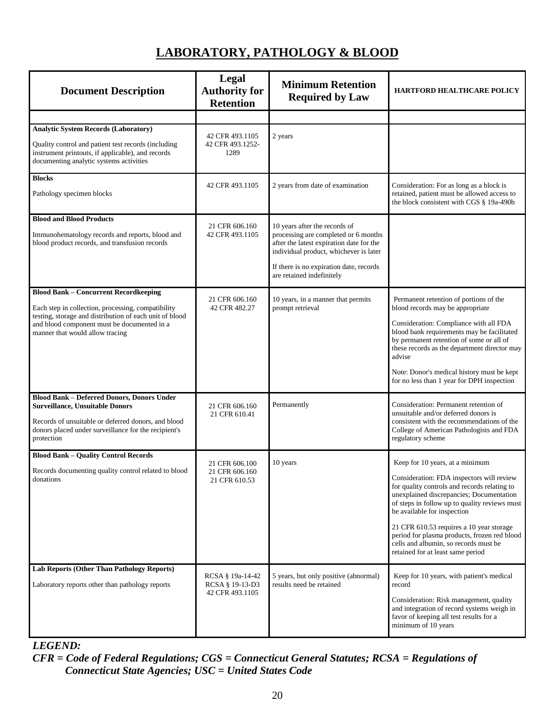# **LABORATORY, PATHOLOGY & BLOOD**

<span id="page-24-0"></span>

| <b>Document Description</b>                                                                                                                                                                                                                     | Legal<br><b>Authority for</b><br><b>Retention</b>      | <b>Minimum Retention</b><br><b>Required by Law</b>                                                                                                                                                                                  | <b>HARTFORD HEALTHCARE POLICY</b>                                                                                                                                                                                                                                                                                                                                                                                                  |
|-------------------------------------------------------------------------------------------------------------------------------------------------------------------------------------------------------------------------------------------------|--------------------------------------------------------|-------------------------------------------------------------------------------------------------------------------------------------------------------------------------------------------------------------------------------------|------------------------------------------------------------------------------------------------------------------------------------------------------------------------------------------------------------------------------------------------------------------------------------------------------------------------------------------------------------------------------------------------------------------------------------|
|                                                                                                                                                                                                                                                 |                                                        |                                                                                                                                                                                                                                     |                                                                                                                                                                                                                                                                                                                                                                                                                                    |
| <b>Analytic System Records (Laboratory)</b><br>Quality control and patient test records (including<br>instrument printouts, if applicable), and records<br>documenting analytic systems activities                                              | 42 CFR 493.1105<br>42 CFR 493.1252-<br>1289            | 2 years                                                                                                                                                                                                                             |                                                                                                                                                                                                                                                                                                                                                                                                                                    |
| <b>Blocks</b><br>Pathology specimen blocks                                                                                                                                                                                                      | 42 CFR 493.1105                                        | 2 years from date of examination                                                                                                                                                                                                    | Consideration: For as long as a block is<br>retained, patient must be allowed access to<br>the block consistent with CGS § 19a-490b                                                                                                                                                                                                                                                                                                |
| <b>Blood and Blood Products</b><br>Immunohematology records and reports, blood and<br>blood product records, and transfusion records                                                                                                            | 21 CFR 606.160<br>42 CFR 493.1105                      | 10 years after the records of<br>processing are completed or 6 months<br>after the latest expiration date for the<br>individual product, whichever is later<br>If there is no expiration date, records<br>are retained indefinitely |                                                                                                                                                                                                                                                                                                                                                                                                                                    |
| <b>Blood Bank - Concurrent Recordkeeping</b><br>Each step in collection, processing, compatibility<br>testing, storage and distribution of each unit of blood<br>and blood component must be documented in a<br>manner that would allow tracing | 21 CFR 606.160<br>42 CFR 482.27                        | 10 years, in a manner that permits<br>prompt retrieval                                                                                                                                                                              | Permanent retention of portions of the<br>blood records may be appropriate<br>Consideration: Compliance with all FDA<br>blood bank requirements may be facilitated<br>by permanent retention of some or all of<br>these records as the department director may<br>advise<br>Note: Donor's medical history must be kept<br>for no less than 1 year for DPH inspection                                                               |
| <b>Blood Bank - Deferred Donors, Donors Under</b><br><b>Surveillance, Unsuitable Donors</b><br>Records of unsuitable or deferred donors, and blood<br>donors placed under surveillance for the recipient's<br>protection                        | 21 CFR 606.160<br>21 CFR 610.41                        | Permanently                                                                                                                                                                                                                         | Consideration: Permanent retention of<br>unsuitable and/or deferred donors is<br>consistent with the recommendations of the<br>College of American Pathologists and FDA<br>regulatory scheme                                                                                                                                                                                                                                       |
| <b>Blood Bank - Quality Control Records</b><br>Records documenting quality control related to blood<br>donations                                                                                                                                | 21 CFR 606.100<br>21 CFR 606.160<br>21 CFR 610.53      | 10 years                                                                                                                                                                                                                            | Keep for 10 years, at a minimum<br>Consideration: FDA inspectors will review<br>for quality controls and records relating to<br>unexplained discrepancies; Documentation<br>of steps in follow up to quality reviews must<br>be available for inspection<br>21 CFR 610.53 requires a 10 year storage<br>period for plasma products, frozen red blood<br>cells and albumin, so records must be<br>retained for at least same period |
| Lab Reports (Other Than Pathology Reports)<br>Laboratory reports other than pathology reports                                                                                                                                                   | RCSA § 19a-14-42<br>RCSA § 19-13-D3<br>42 CFR 493.1105 | 5 years, but only positive (abnormal)<br>results need be retained                                                                                                                                                                   | Keep for 10 years, with patient's medical<br>record<br>Consideration: Risk management, quality<br>and integration of record systems weigh in<br>favor of keeping all test results for a<br>minimum of 10 years                                                                                                                                                                                                                     |

#### *LEGEND:*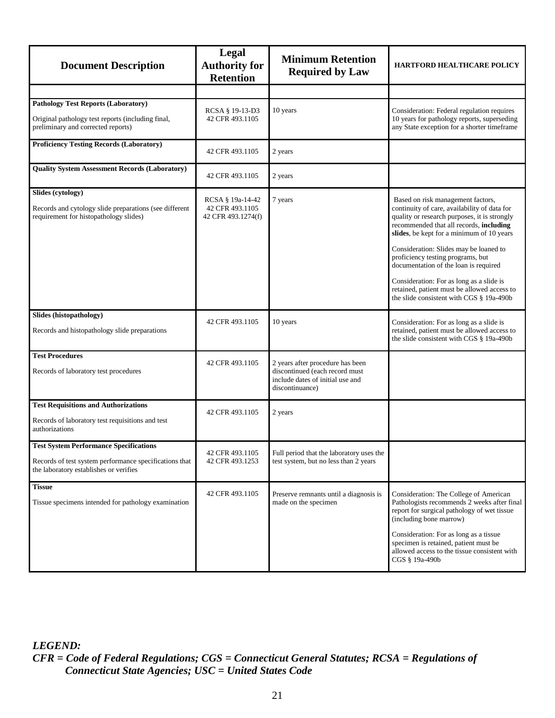| <b>Document Description</b>                                                                                                                       | <b>Legal</b><br><b>Authority for</b><br><b>Retention</b>  | <b>Minimum Retention</b><br><b>Required by Law</b>                                                                        | <b>HARTFORD HEALTHCARE POLICY</b>                                                                                                                                                                                         |
|---------------------------------------------------------------------------------------------------------------------------------------------------|-----------------------------------------------------------|---------------------------------------------------------------------------------------------------------------------------|---------------------------------------------------------------------------------------------------------------------------------------------------------------------------------------------------------------------------|
|                                                                                                                                                   |                                                           |                                                                                                                           |                                                                                                                                                                                                                           |
| <b>Pathology Test Reports (Laboratory)</b><br>Original pathology test reports (including final,<br>preliminary and corrected reports)             | RCSA § 19-13-D3<br>42 CFR 493.1105                        | 10 years                                                                                                                  | Consideration: Federal regulation requires<br>10 years for pathology reports, superseding<br>any State exception for a shorter timeframe                                                                                  |
| <b>Proficiency Testing Records (Laboratory)</b>                                                                                                   | 42 CFR 493.1105                                           | 2 years                                                                                                                   |                                                                                                                                                                                                                           |
| <b>Quality System Assessment Records (Laboratory)</b>                                                                                             | 42 CFR 493.1105                                           | 2 years                                                                                                                   |                                                                                                                                                                                                                           |
| Slides (cytology)<br>Records and cytology slide preparations (see different<br>requirement for histopathology slides)                             | RCSA § 19a-14-42<br>42 CFR 493.1105<br>42 CFR 493.1274(f) | 7 years                                                                                                                   | Based on risk management factors,<br>continuity of care, availability of data for<br>quality or research purposes, it is strongly<br>recommended that all records, including<br>slides, be kept for a minimum of 10 years |
|                                                                                                                                                   |                                                           |                                                                                                                           | Consideration: Slides may be loaned to<br>proficiency testing programs, but<br>documentation of the loan is required                                                                                                      |
|                                                                                                                                                   |                                                           |                                                                                                                           | Consideration: For as long as a slide is<br>retained, patient must be allowed access to<br>the slide consistent with CGS § 19a-490b                                                                                       |
| Slides (histopathology)<br>Records and histopathology slide preparations                                                                          | 42 CFR 493.1105                                           | 10 years                                                                                                                  | Consideration: For as long as a slide is<br>retained, patient must be allowed access to<br>the slide consistent with CGS § 19a-490b                                                                                       |
| <b>Test Procedures</b><br>Records of laboratory test procedures                                                                                   | 42 CFR 493.1105                                           | 2 years after procedure has been<br>discontinued (each record must<br>include dates of initial use and<br>discontinuance) |                                                                                                                                                                                                                           |
| <b>Test Requisitions and Authorizations</b><br>Records of laboratory test requisitions and test<br>authorizations                                 | 42 CFR 493.1105                                           | 2 years                                                                                                                   |                                                                                                                                                                                                                           |
| <b>Test System Performance Specifications</b><br>Records of test system performance specifications that<br>the laboratory establishes or verifies | 42 CFR 493.1105<br>42 CFR 493.1253                        | Full period that the laboratory uses the<br>test system, but no less than 2 years                                         |                                                                                                                                                                                                                           |
| <b>Tissue</b><br>Tissue specimens intended for pathology examination                                                                              | 42 CFR 493.1105                                           | Preserve remnants until a diagnosis is<br>made on the specimen                                                            | Consideration: The College of American<br>Pathologists recommends 2 weeks after final<br>report for surgical pathology of wet tissue<br>(including bone marrow)                                                           |
|                                                                                                                                                   |                                                           |                                                                                                                           | Consideration: For as long as a tissue<br>specimen is retained, patient must be<br>allowed access to the tissue consistent with<br>CGS § 19a-490b                                                                         |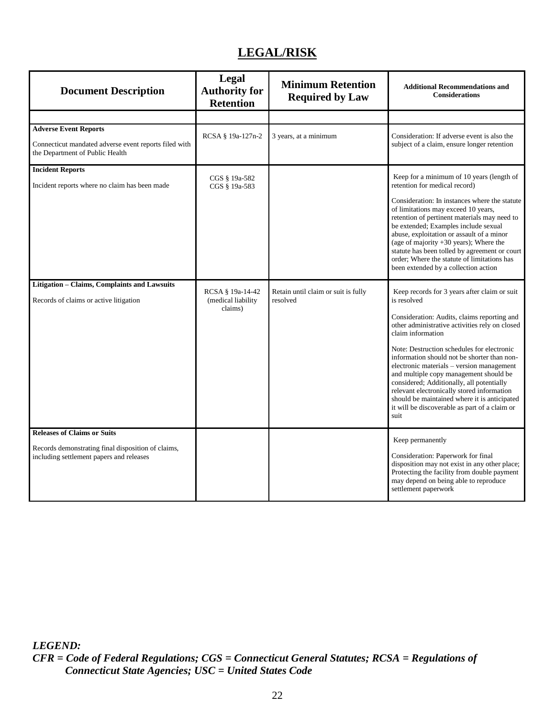# **LEGAL/RISK**

<span id="page-26-0"></span>

| <b>Document Description</b>                                                                                                          | Legal<br><b>Authority for</b><br><b>Retention</b> | <b>Minimum Retention</b><br><b>Required by Law</b> | <b>Additional Recommendations and</b><br><b>Considerations</b>                                                                                                                                                                                                                                                                                                                                                                                                                                                                                                            |
|--------------------------------------------------------------------------------------------------------------------------------------|---------------------------------------------------|----------------------------------------------------|---------------------------------------------------------------------------------------------------------------------------------------------------------------------------------------------------------------------------------------------------------------------------------------------------------------------------------------------------------------------------------------------------------------------------------------------------------------------------------------------------------------------------------------------------------------------------|
|                                                                                                                                      |                                                   |                                                    |                                                                                                                                                                                                                                                                                                                                                                                                                                                                                                                                                                           |
| <b>Adverse Event Reports</b><br>Connecticut mandated adverse event reports filed with<br>the Department of Public Health             | RCSA § 19a-127n-2                                 | 3 years, at a minimum                              | Consideration: If adverse event is also the<br>subject of a claim, ensure longer retention                                                                                                                                                                                                                                                                                                                                                                                                                                                                                |
| <b>Incident Reports</b>                                                                                                              | CGS § 19a-582                                     |                                                    | Keep for a minimum of 10 years (length of                                                                                                                                                                                                                                                                                                                                                                                                                                                                                                                                 |
| Incident reports where no claim has been made                                                                                        | CGS § 19a-583                                     |                                                    | retention for medical record)<br>Consideration: In instances where the statute<br>of limitations may exceed 10 years,<br>retention of pertinent materials may need to<br>be extended; Examples include sexual<br>abuse, exploitation or assault of a minor<br>(age of majority $+30$ years); Where the<br>statute has been tolled by agreement or court<br>order; Where the statute of limitations has<br>been extended by a collection action                                                                                                                            |
| Litigation - Claims, Complaints and Lawsuits<br>Records of claims or active litigation                                               | RCSA § 19a-14-42<br>(medical liability<br>claims) | Retain until claim or suit is fully<br>resolved    | Keep records for 3 years after claim or suit<br>is resolved<br>Consideration: Audits, claims reporting and<br>other administrative activities rely on closed<br>claim information<br>Note: Destruction schedules for electronic<br>information should not be shorter than non-<br>electronic materials – version management<br>and multiple copy management should be<br>considered; Additionally, all potentially<br>relevant electronically stored information<br>should be maintained where it is anticipated<br>it will be discoverable as part of a claim or<br>suit |
| <b>Releases of Claims or Suits</b><br>Records demonstrating final disposition of claims,<br>including settlement papers and releases |                                                   |                                                    | Keep permanently<br>Consideration: Paperwork for final<br>disposition may not exist in any other place;<br>Protecting the facility from double payment<br>may depend on being able to reproduce<br>settlement paperwork                                                                                                                                                                                                                                                                                                                                                   |

*LEGEND:*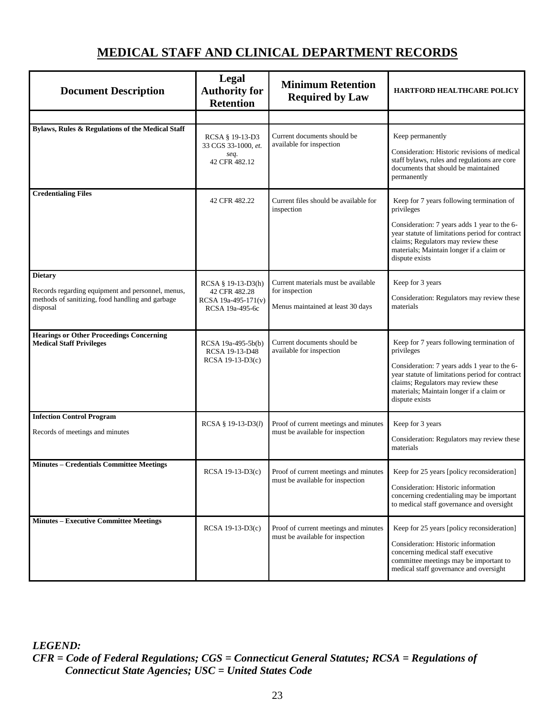## **MEDICAL STAFF AND CLINICAL DEPARTMENT RECORDS**

<span id="page-27-0"></span>

| <b>Document Description</b>                                                                                                         | Legal<br><b>Authority for</b><br><b>Retention</b>                             | <b>Minimum Retention</b><br><b>Required by Law</b>                                         | <b>HARTFORD HEALTHCARE POLICY</b>                                                                                                                                                                                                                               |
|-------------------------------------------------------------------------------------------------------------------------------------|-------------------------------------------------------------------------------|--------------------------------------------------------------------------------------------|-----------------------------------------------------------------------------------------------------------------------------------------------------------------------------------------------------------------------------------------------------------------|
|                                                                                                                                     |                                                                               |                                                                                            |                                                                                                                                                                                                                                                                 |
| Bylaws, Rules & Regulations of the Medical Staff                                                                                    | RCSA § 19-13-D3<br>33 CGS 33-1000, et.<br>seq.<br>42 CFR 482.12               | Current documents should be<br>available for inspection                                    | Keep permanently<br>Consideration: Historic revisions of medical<br>staff bylaws, rules and regulations are core<br>documents that should be maintained<br>permanently                                                                                          |
| <b>Credentialing Files</b>                                                                                                          | 42 CFR 482.22                                                                 | Current files should be available for<br>inspection                                        | Keep for 7 years following termination of<br>privileges<br>Consideration: 7 years adds 1 year to the 6-<br>year statute of limitations period for contract<br>claims; Regulators may review these<br>materials; Maintain longer if a claim or<br>dispute exists |
| <b>Dietary</b><br>Records regarding equipment and personnel, menus,<br>methods of sanitizing, food handling and garbage<br>disposal | RCSA § 19-13-D3(h)<br>42 CFR 482.28<br>RCSA 19a-495-171(v)<br>RCSA 19a-495-6c | Current materials must be available<br>for inspection<br>Menus maintained at least 30 days | Keep for 3 years<br>Consideration: Regulators may review these<br>materials                                                                                                                                                                                     |
| <b>Hearings or Other Proceedings Concerning</b><br><b>Medical Staff Privileges</b>                                                  | RCSA 19a-495-5b(b)<br>RCSA 19-13-D48<br>RCSA 19-13-D3(c)                      | Current documents should be<br>available for inspection                                    | Keep for 7 years following termination of<br>privileges<br>Consideration: 7 years adds 1 year to the 6-<br>year statute of limitations period for contract<br>claims; Regulators may review these<br>materials; Maintain longer if a claim or<br>dispute exists |
| <b>Infection Control Program</b><br>Records of meetings and minutes                                                                 | RCSA § 19-13-D3(l)                                                            | Proof of current meetings and minutes<br>must be available for inspection                  | Keep for 3 years<br>Consideration: Regulators may review these<br>materials                                                                                                                                                                                     |
| <b>Minutes - Credentials Committee Meetings</b>                                                                                     | RCSA 19-13-D3(c)                                                              | Proof of current meetings and minutes<br>must be available for inspection                  | Keep for 25 years [policy reconsideration]<br>Consideration: Historic information<br>concerning credentialing may be important<br>to medical staff governance and oversight                                                                                     |
| <b>Minutes - Executive Committee Meetings</b>                                                                                       | RCSA 19-13-D3(c)                                                              | Proof of current meetings and minutes<br>must be available for inspection                  | Keep for 25 years [policy reconsideration]<br>Consideration: Historic information<br>concerning medical staff executive<br>committee meetings may be important to<br>medical staff governance and oversight                                                     |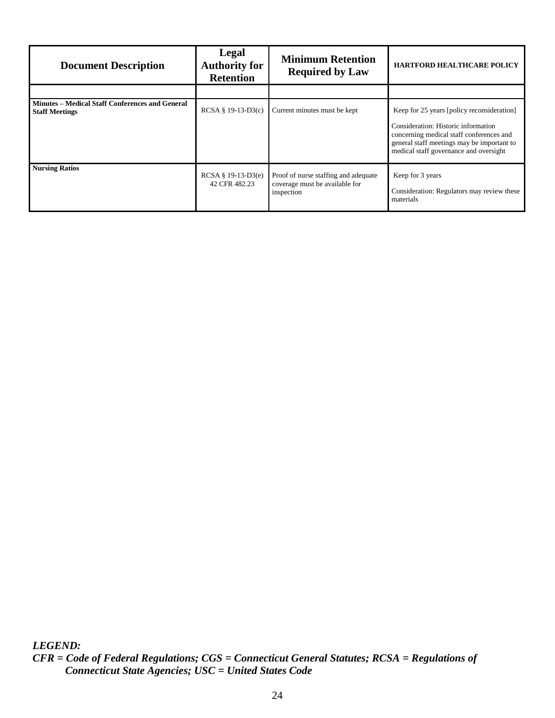| <b>Document Description</b>                                                     | Legal<br><b>Authority for</b><br><b>Retention</b> | <b>Minimum Retention</b><br><b>Required by Law</b>                                   | <b>HARTFORD HEALTHCARE POLICY</b>                                                                                                                                                                                     |
|---------------------------------------------------------------------------------|---------------------------------------------------|--------------------------------------------------------------------------------------|-----------------------------------------------------------------------------------------------------------------------------------------------------------------------------------------------------------------------|
|                                                                                 |                                                   |                                                                                      |                                                                                                                                                                                                                       |
| <b>Minutes – Medical Staff Conferences and General</b><br><b>Staff Meetings</b> | $RCSA$ § 19-13-D3(c)                              | Current minutes must be kept                                                         | Keep for 25 years [policy reconsideration]<br>Consideration: Historic information<br>concerning medical staff conferences and<br>general staff meetings may be important to<br>medical staff governance and oversight |
| <b>Nursing Ratios</b>                                                           | $RCSA \S 19-13-D3(e)$<br>42 CFR 482.23            | Proof of nurse staffing and adequate<br>coverage must be available for<br>inspection | Keep for 3 years<br>Consideration: Regulators may review these<br>materials                                                                                                                                           |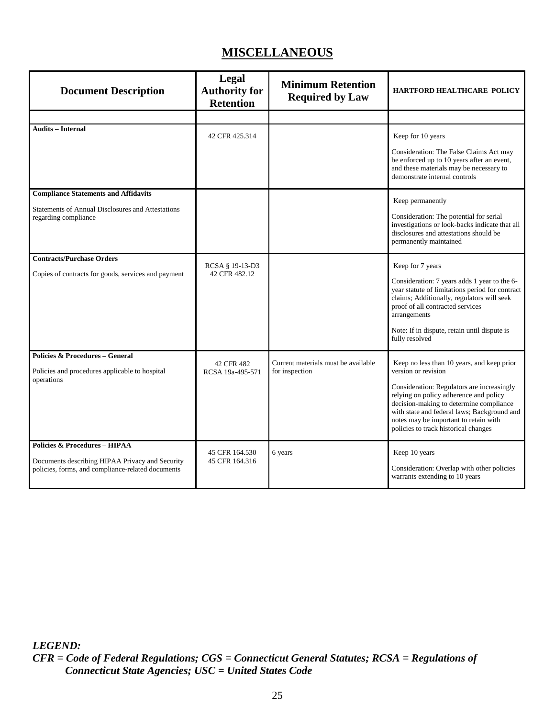# **MISCELLANEOUS**

<span id="page-29-0"></span>

| <b>Document Description</b>                                                                                                                      | Legal<br><b>Authority for</b><br><b>Retention</b> | <b>Minimum Retention</b><br><b>Required by Law</b>    | <b>HARTFORD HEALTHCARE POLICY</b>                                                                                                                                                                                                                                                                                                    |
|--------------------------------------------------------------------------------------------------------------------------------------------------|---------------------------------------------------|-------------------------------------------------------|--------------------------------------------------------------------------------------------------------------------------------------------------------------------------------------------------------------------------------------------------------------------------------------------------------------------------------------|
|                                                                                                                                                  |                                                   |                                                       |                                                                                                                                                                                                                                                                                                                                      |
| <b>Audits – Internal</b>                                                                                                                         | 42 CFR 425.314                                    |                                                       | Keep for 10 years<br>Consideration: The False Claims Act may<br>be enforced up to 10 years after an event,<br>and these materials may be necessary to<br>demonstrate internal controls                                                                                                                                               |
| <b>Compliance Statements and Affidavits</b>                                                                                                      |                                                   |                                                       | Keep permanently                                                                                                                                                                                                                                                                                                                     |
| <b>Statements of Annual Disclosures and Attestations</b><br>regarding compliance                                                                 |                                                   |                                                       | Consideration: The potential for serial<br>investigations or look-backs indicate that all<br>disclosures and attestations should be<br>permanently maintained                                                                                                                                                                        |
| <b>Contracts/Purchase Orders</b><br>Copies of contracts for goods, services and payment                                                          | RCSA § 19-13-D3<br>42 CFR 482.12                  |                                                       | Keep for 7 years<br>Consideration: 7 years adds 1 year to the 6-<br>year statute of limitations period for contract<br>claims; Additionally, regulators will seek<br>proof of all contracted services<br>arrangements<br>Note: If in dispute, retain until dispute is<br>fully resolved                                              |
| Policies & Procedures - General<br>Policies and procedures applicable to hospital<br>operations                                                  | 42 CFR 482<br>RCSA 19a-495-571                    | Current materials must be available<br>for inspection | Keep no less than 10 years, and keep prior<br>version or revision<br>Consideration: Regulators are increasingly<br>relying on policy adherence and policy<br>decision-making to determine compliance<br>with state and federal laws; Background and<br>notes may be important to retain with<br>policies to track historical changes |
| <b>Policies &amp; Procedures - HIPAA</b><br>Documents describing HIPAA Privacy and Security<br>policies, forms, and compliance-related documents | 45 CFR 164.530<br>45 CFR 164.316                  | 6 years                                               | Keep 10 years<br>Consideration: Overlap with other policies<br>warrants extending to 10 years                                                                                                                                                                                                                                        |

*LEGEND:*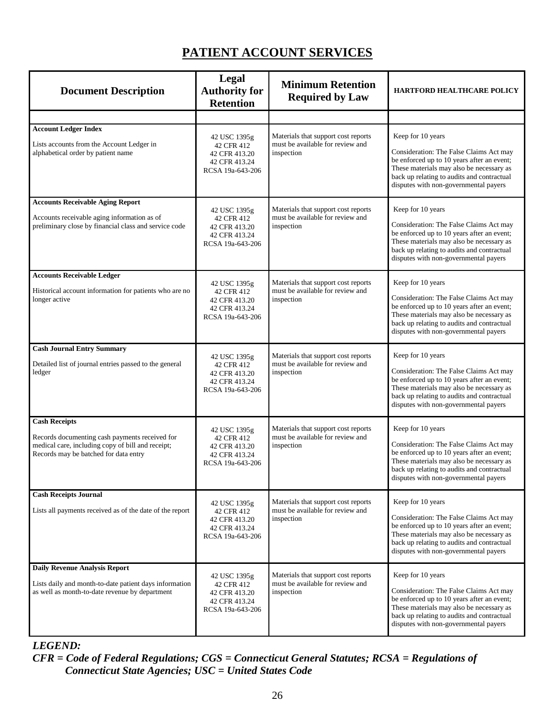# **PATIENT ACCOUNT SERVICES**

<span id="page-30-0"></span>

| <b>Document Description</b>                                                                                                                                          | <b>Legal</b><br><b>Authority for</b><br><b>Retention</b>                         | <b>Minimum Retention</b><br><b>Required by Law</b>                                    | <b>HARTFORD HEALTHCARE POLICY</b>                                                                                                                                                                                                             |
|----------------------------------------------------------------------------------------------------------------------------------------------------------------------|----------------------------------------------------------------------------------|---------------------------------------------------------------------------------------|-----------------------------------------------------------------------------------------------------------------------------------------------------------------------------------------------------------------------------------------------|
|                                                                                                                                                                      |                                                                                  |                                                                                       |                                                                                                                                                                                                                                               |
| <b>Account Ledger Index</b><br>Lists accounts from the Account Ledger in<br>alphabetical order by patient name                                                       | 42 USC 1395g<br>42 CFR 412<br>42 CFR 413.20<br>42 CFR 413.24<br>RCSA 19a-643-206 | Materials that support cost reports<br>must be available for review and<br>inspection | Keep for 10 years<br>Consideration: The False Claims Act may<br>be enforced up to 10 years after an event;<br>These materials may also be necessary as<br>back up relating to audits and contractual<br>disputes with non-governmental payers |
| <b>Accounts Receivable Aging Report</b><br>Accounts receivable aging information as of<br>preliminary close by financial class and service code                      | 42 USC 1395g<br>42 CFR 412<br>42 CFR 413.20<br>42 CFR 413.24<br>RCSA 19a-643-206 | Materials that support cost reports<br>must be available for review and<br>inspection | Keep for 10 years<br>Consideration: The False Claims Act may<br>be enforced up to 10 years after an event;<br>These materials may also be necessary as<br>back up relating to audits and contractual<br>disputes with non-governmental payers |
| <b>Accounts Receivable Ledger</b><br>Historical account information for patients who are no<br>longer active                                                         | 42 USC 1395g<br>42 CFR 412<br>42 CFR 413.20<br>42 CFR 413.24<br>RCSA 19a-643-206 | Materials that support cost reports<br>must be available for review and<br>inspection | Keep for 10 years<br>Consideration: The False Claims Act may<br>be enforced up to 10 years after an event;<br>These materials may also be necessary as<br>back up relating to audits and contractual<br>disputes with non-governmental payers |
| <b>Cash Journal Entry Summary</b><br>Detailed list of journal entries passed to the general<br>ledger                                                                | 42 USC 1395g<br>42 CFR 412<br>42 CFR 413.20<br>42 CFR 413.24<br>RCSA 19a-643-206 | Materials that support cost reports<br>must be available for review and<br>inspection | Keep for 10 years<br>Consideration: The False Claims Act may<br>be enforced up to 10 years after an event;<br>These materials may also be necessary as<br>back up relating to audits and contractual<br>disputes with non-governmental payers |
| <b>Cash Receipts</b><br>Records documenting cash payments received for<br>medical care, including copy of bill and receipt;<br>Records may be batched for data entry | 42 USC 1395g<br>42 CFR 412<br>42 CFR 413.20<br>42 CFR 413.24<br>RCSA 19a-643-206 | Materials that support cost reports<br>must be available for review and<br>inspection | Keep for 10 years<br>Consideration: The False Claims Act may<br>be enforced up to 10 years after an event;<br>These materials may also be necessary as<br>back up relating to audits and contractual<br>disputes with non-governmental payers |
| <b>Cash Receipts Journal</b><br>Lists all payments received as of the date of the report                                                                             | 42 USC 1395g<br>42 CFR 412<br>42 CFR 413.20<br>42 CFR 413.24<br>RCSA 19a-643-206 | Materials that support cost reports<br>must be available for review and<br>inspection | Keep for 10 years<br>Consideration: The False Claims Act may<br>be enforced up to 10 years after an event;<br>These materials may also be necessary as<br>back up relating to audits and contractual<br>disputes with non-governmental payers |
| <b>Daily Revenue Analysis Report</b><br>Lists daily and month-to-date patient days information<br>as well as month-to-date revenue by department                     | 42 USC 1395g<br>42 CFR 412<br>42 CFR 413.20<br>42 CFR 413.24<br>RCSA 19a-643-206 | Materials that support cost reports<br>must be available for review and<br>inspection | Keep for 10 years<br>Consideration: The False Claims Act may<br>be enforced up to 10 years after an event;<br>These materials may also be necessary as<br>back up relating to audits and contractual<br>disputes with non-governmental payers |

#### *LEGEND:*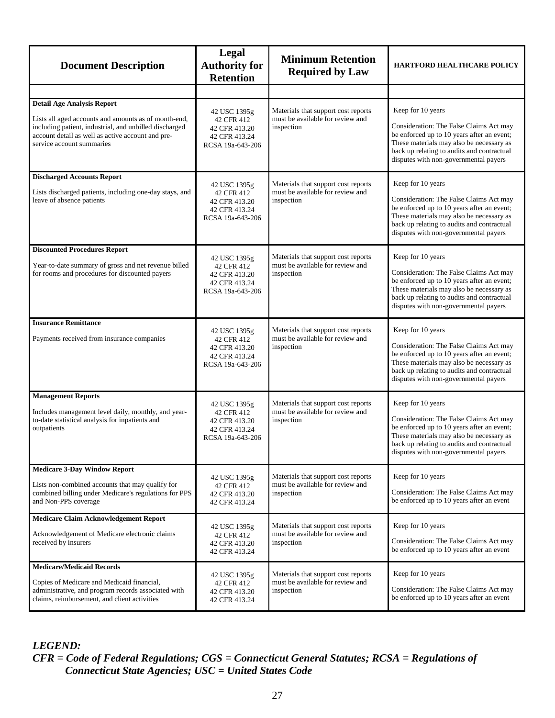| <b>Document Description</b>                                                                                                                                                                                                           | Legal<br><b>Authority for</b><br><b>Retention</b>                                | <b>Minimum Retention</b><br><b>Required by Law</b>                                    | <b>HARTFORD HEALTHCARE POLICY</b>                                                                                                                                                                                                             |
|---------------------------------------------------------------------------------------------------------------------------------------------------------------------------------------------------------------------------------------|----------------------------------------------------------------------------------|---------------------------------------------------------------------------------------|-----------------------------------------------------------------------------------------------------------------------------------------------------------------------------------------------------------------------------------------------|
|                                                                                                                                                                                                                                       |                                                                                  |                                                                                       |                                                                                                                                                                                                                                               |
| <b>Detail Age Analysis Report</b><br>Lists all aged accounts and amounts as of month-end,<br>including patient, industrial, and unbilled discharged<br>account detail as well as active account and pre-<br>service account summaries | 42 USC 1395g<br>42 CFR 412<br>42 CFR 413.20<br>42 CFR 413.24<br>RCSA 19a-643-206 | Materials that support cost reports<br>must be available for review and<br>inspection | Keep for 10 years<br>Consideration: The False Claims Act may<br>be enforced up to 10 years after an event;<br>These materials may also be necessary as<br>back up relating to audits and contractual<br>disputes with non-governmental payers |
| <b>Discharged Accounts Report</b><br>Lists discharged patients, including one-day stays, and<br>leave of absence patients                                                                                                             | 42 USC 1395g<br>42 CFR 412<br>42 CFR 413.20<br>42 CFR 413.24<br>RCSA 19a-643-206 | Materials that support cost reports<br>must be available for review and<br>inspection | Keep for 10 years<br>Consideration: The False Claims Act may<br>be enforced up to 10 years after an event;<br>These materials may also be necessary as<br>back up relating to audits and contractual<br>disputes with non-governmental payers |
| <b>Discounted Procedures Report</b><br>Year-to-date summary of gross and net revenue billed<br>for rooms and procedures for discounted payers                                                                                         | 42 USC 1395g<br>42 CFR 412<br>42 CFR 413.20<br>42 CFR 413.24<br>RCSA 19a-643-206 | Materials that support cost reports<br>must be available for review and<br>inspection | Keep for 10 years<br>Consideration: The False Claims Act may<br>be enforced up to 10 years after an event;<br>These materials may also be necessary as<br>back up relating to audits and contractual<br>disputes with non-governmental payers |
| <b>Insurance Remittance</b><br>Payments received from insurance companies                                                                                                                                                             | 42 USC 1395g<br>42 CFR 412<br>42 CFR 413.20<br>42 CFR 413.24<br>RCSA 19a-643-206 | Materials that support cost reports<br>must be available for review and<br>inspection | Keep for 10 years<br>Consideration: The False Claims Act may<br>be enforced up to 10 years after an event;<br>These materials may also be necessary as<br>back up relating to audits and contractual<br>disputes with non-governmental payers |
| <b>Management Reports</b><br>Includes management level daily, monthly, and year-<br>to-date statistical analysis for inpatients and<br>outpatients                                                                                    | 42 USC 1395g<br>42 CFR 412<br>42 CFR 413.20<br>42 CFR 413.24<br>RCSA 19a-643-206 | Materials that support cost reports<br>must be available for review and<br>inspection | Keep for 10 years<br>Consideration: The False Claims Act may<br>be enforced up to 10 years after an event;<br>These materials may also be necessary as<br>back up relating to audits and contractual<br>disputes with non-governmental payers |
| <b>Medicare 3-Day Window Report</b><br>Lists non-combined accounts that may qualify for<br>combined billing under Medicare's regulations for PPS<br>and Non-PPS coverage                                                              | 42 USC 1395g<br>42 CFR 412<br>42 CFR 413.20<br>42 CFR 413.24                     | Materials that support cost reports<br>must be available for review and<br>inspection | Keep for 10 years<br>Consideration: The False Claims Act may<br>be enforced up to 10 years after an event                                                                                                                                     |
| <b>Medicare Claim Acknowledgement Report</b><br>Acknowledgement of Medicare electronic claims<br>received by insurers                                                                                                                 | 42 USC 1395g<br>42 CFR 412<br>42 CFR 413.20<br>42 CFR 413.24                     | Materials that support cost reports<br>must be available for review and<br>inspection | Keep for 10 years<br>Consideration: The False Claims Act may<br>be enforced up to 10 years after an event                                                                                                                                     |
| <b>Medicare/Medicaid Records</b><br>Copies of Medicare and Medicaid financial,<br>administrative, and program records associated with<br>claims, reimbursement, and client activities                                                 | 42 USC 1395g<br>42 CFR 412<br>42 CFR 413.20<br>42 CFR 413.24                     | Materials that support cost reports<br>must be available for review and<br>inspection | Keep for 10 years<br>Consideration: The False Claims Act may<br>be enforced up to 10 years after an event                                                                                                                                     |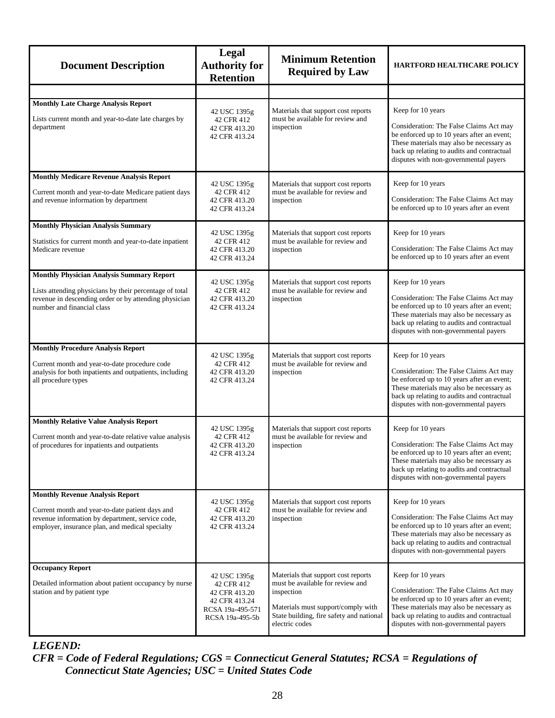<span id="page-32-6"></span><span id="page-32-5"></span><span id="page-32-4"></span><span id="page-32-3"></span><span id="page-32-2"></span><span id="page-32-1"></span><span id="page-32-0"></span>

| <b>Document Description</b>                                                                                                                                                                        | Legal<br><b>Authority for</b><br><b>Retention</b>                                                   | <b>Minimum Retention</b><br><b>Required by Law</b>                                                                                                                                        | <b>HARTFORD HEALTHCARE POLICY</b>                                                                                                                                                                                                             |
|----------------------------------------------------------------------------------------------------------------------------------------------------------------------------------------------------|-----------------------------------------------------------------------------------------------------|-------------------------------------------------------------------------------------------------------------------------------------------------------------------------------------------|-----------------------------------------------------------------------------------------------------------------------------------------------------------------------------------------------------------------------------------------------|
|                                                                                                                                                                                                    |                                                                                                     |                                                                                                                                                                                           |                                                                                                                                                                                                                                               |
| <b>Monthly Late Charge Analysis Report</b><br>Lists current month and year-to-date late charges by<br>department                                                                                   | 42 USC 1395g<br>42 CFR 412<br>42 CFR 413.20<br>42 CFR 413.24                                        | Materials that support cost reports<br>must be available for review and<br>inspection                                                                                                     | Keep for 10 years<br>Consideration: The False Claims Act may<br>be enforced up to 10 years after an event;<br>These materials may also be necessary as<br>back up relating to audits and contractual<br>disputes with non-governmental payers |
| <b>Monthly Medicare Revenue Analysis Report</b><br>Current month and year-to-date Medicare patient days<br>and revenue information by department                                                   | 42 USC 1395g<br>42 CFR 412<br>42 CFR 413.20<br>42 CFR 413.24                                        | Materials that support cost reports<br>must be available for review and<br>inspection                                                                                                     | Keep for 10 years<br>Consideration: The False Claims Act may<br>be enforced up to 10 years after an event                                                                                                                                     |
| <b>Monthly Physician Analysis Summary</b><br>Statistics for current month and year-to-date inpatient<br>Medicare revenue                                                                           | 42 USC 1395g<br>42 CFR 412<br>42 CFR 413.20<br>42 CFR 413.24                                        | Materials that support cost reports<br>must be available for review and<br>inspection                                                                                                     | Keep for 10 years<br>Consideration: The False Claims Act may<br>be enforced up to 10 years after an event                                                                                                                                     |
| <b>Monthly Physician Analysis Summary Report</b><br>Lists attending physicians by their percentage of total<br>revenue in descending order or by attending physician<br>number and financial class | 42 USC 1395g<br>42 CFR 412<br>42 CFR 413.20<br>42 CFR 413.24                                        | Materials that support cost reports<br>must be available for review and<br>inspection                                                                                                     | Keep for 10 years<br>Consideration: The False Claims Act may<br>be enforced up to 10 years after an event;<br>These materials may also be necessary as<br>back up relating to audits and contractual<br>disputes with non-governmental payers |
| <b>Monthly Procedure Analysis Report</b><br>Current month and year-to-date procedure code<br>analysis for both inpatients and outpatients, including<br>all procedure types                        | 42 USC 1395g<br>42 CFR 412<br>42 CFR 413.20<br>42 CFR 413.24                                        | Materials that support cost reports<br>must be available for review and<br>inspection                                                                                                     | Keep for 10 years<br>Consideration: The False Claims Act may<br>be enforced up to 10 years after an event;<br>These materials may also be necessary as<br>back up relating to audits and contractual<br>disputes with non-governmental payers |
| <b>Monthly Relative Value Analysis Report</b><br>Current month and year-to-date relative value analysis<br>of procedures for inpatients and outpatients                                            | 42 USC 1395g<br>42 CFR 412<br>42 CFR 413.20<br>42 CFR 413.24                                        | Materials that support cost reports<br>must be available for review and<br>inspection                                                                                                     | Keep for 10 years<br>Consideration: The False Claims Act may<br>be enforced up to 10 years after an event;<br>These materials may also be necessary as<br>back up relating to audits and contractual<br>disputes with non-governmental payers |
| <b>Monthly Revenue Analysis Report</b><br>Current month and year-to-date patient days and<br>revenue information by department, service code,<br>employer, insurance plan, and medical specialty   | 42 USC 1395g<br>42 CFR 412<br>42 CFR 413.20<br>42 CFR 413.24                                        | Materials that support cost reports<br>must be available for review and<br>inspection                                                                                                     | Keep for 10 years<br>Consideration: The False Claims Act may<br>be enforced up to 10 years after an event;<br>These materials may also be necessary as<br>back up relating to audits and contractual<br>disputes with non-governmental payers |
| <b>Occupancy Report</b><br>Detailed information about patient occupancy by nurse<br>station and by patient type                                                                                    | 42 USC 1395g<br>42 CFR 412<br>42 CFR 413.20<br>42 CFR 413.24<br>RCSA 19a-495-571<br>RCSA 19a-495-5b | Materials that support cost reports<br>must be available for review and<br>inspection<br>Materials must support/comply with<br>State building, fire safety and national<br>electric codes | Keep for 10 years<br>Consideration: The False Claims Act may<br>be enforced up to 10 years after an event;<br>These materials may also be necessary as<br>back up relating to audits and contractual<br>disputes with non-governmental payers |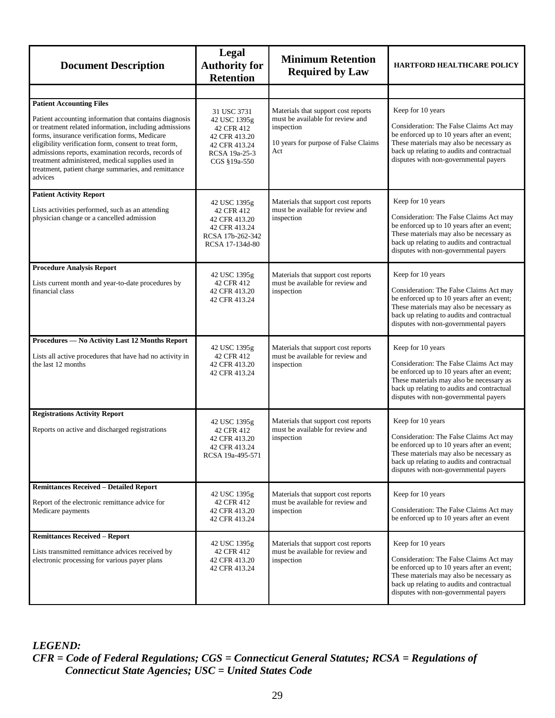<span id="page-33-5"></span><span id="page-33-4"></span><span id="page-33-3"></span><span id="page-33-2"></span><span id="page-33-1"></span><span id="page-33-0"></span>

| <b>Document Description</b>                                                                                                                                                                                                                                                                                                                                                                                                                | Legal<br><b>Authority for</b><br><b>Retention</b>                                                            | <b>Minimum Retention</b><br><b>Required by Law</b>                                                                                   | <b>HARTFORD HEALTHCARE POLICY</b>                                                                                                                                                                                                             |
|--------------------------------------------------------------------------------------------------------------------------------------------------------------------------------------------------------------------------------------------------------------------------------------------------------------------------------------------------------------------------------------------------------------------------------------------|--------------------------------------------------------------------------------------------------------------|--------------------------------------------------------------------------------------------------------------------------------------|-----------------------------------------------------------------------------------------------------------------------------------------------------------------------------------------------------------------------------------------------|
|                                                                                                                                                                                                                                                                                                                                                                                                                                            |                                                                                                              |                                                                                                                                      |                                                                                                                                                                                                                                               |
| <b>Patient Accounting Files</b><br>Patient accounting information that contains diagnosis<br>or treatment related information, including admissions<br>forms, insurance verification forms, Medicare<br>eligibility verification form, consent to treat form,<br>admissions reports, examination records, records of<br>treatment administered, medical supplies used in<br>treatment, patient charge summaries, and remittance<br>advices | 31 USC 3731<br>42 USC 1395g<br>42 CFR 412<br>42 CFR 413.20<br>42 CFR 413.24<br>RCSA 19a-25-3<br>CGS §19a-550 | Materials that support cost reports<br>must be available for review and<br>inspection<br>10 years for purpose of False Claims<br>Act | Keep for 10 years<br>Consideration: The False Claims Act may<br>be enforced up to 10 years after an event;<br>These materials may also be necessary as<br>back up relating to audits and contractual<br>disputes with non-governmental payers |
| <b>Patient Activity Report</b><br>Lists activities performed, such as an attending<br>physician change or a cancelled admission                                                                                                                                                                                                                                                                                                            | 42 USC 1395g<br>42 CFR 412<br>42 CFR 413.20<br>42 CFR 413.24<br>RCSA 17b-262-342<br>RCSA 17-134d-80          | Materials that support cost reports<br>must be available for review and<br>inspection                                                | Keep for 10 years<br>Consideration: The False Claims Act may<br>be enforced up to 10 years after an event;<br>These materials may also be necessary as<br>back up relating to audits and contractual<br>disputes with non-governmental payers |
| <b>Procedure Analysis Report</b><br>Lists current month and year-to-date procedures by<br>financial class                                                                                                                                                                                                                                                                                                                                  | 42 USC 1395g<br>42 CFR 412<br>42 CFR 413.20<br>42 CFR 413.24                                                 | Materials that support cost reports<br>must be available for review and<br>inspection                                                | Keep for 10 years<br>Consideration: The False Claims Act may<br>be enforced up to 10 years after an event;<br>These materials may also be necessary as<br>back up relating to audits and contractual<br>disputes with non-governmental payers |
| Procedures - No Activity Last 12 Months Report<br>Lists all active procedures that have had no activity in<br>the last 12 months                                                                                                                                                                                                                                                                                                           | 42 USC 1395g<br>42 CFR 412<br>42 CFR 413.20<br>42 CFR 413.24                                                 | Materials that support cost reports<br>must be available for review and<br>inspection                                                | Keep for 10 years<br>Consideration: The False Claims Act may<br>be enforced up to 10 years after an event;<br>These materials may also be necessary as<br>back up relating to audits and contractual<br>disputes with non-governmental payers |
| <b>Registrations Activity Report</b><br>Reports on active and discharged registrations                                                                                                                                                                                                                                                                                                                                                     | 42 USC 1395g<br>42 CFR 412<br>42 CFR 413.20<br>42 CFR 413.24<br>RCSA 19a-495-571                             | Materials that support cost reports<br>must be available for review and<br>inspection                                                | Keep for 10 years<br>Consideration: The False Claims Act may<br>be enforced up to 10 years after an event;<br>These materials may also be necessary as<br>back up relating to audits and contractual<br>disputes with non-governmental payers |
| <b>Remittances Received - Detailed Report</b><br>Report of the electronic remittance advice for<br>Medicare payments                                                                                                                                                                                                                                                                                                                       | 42 USC 1395g<br>42 CFR 412<br>42 CFR 413.20<br>42 CFR 413.24                                                 | Materials that support cost reports<br>must be available for review and<br>inspection                                                | Keep for 10 years<br>Consideration: The False Claims Act may<br>be enforced up to 10 years after an event                                                                                                                                     |
| <b>Remittances Received - Report</b><br>Lists transmitted remittance advices received by<br>electronic processing for various payer plans                                                                                                                                                                                                                                                                                                  | 42 USC 1395g<br>42 CFR 412<br>42 CFR 413.20<br>42 CFR 413.24                                                 | Materials that support cost reports<br>must be available for review and<br>inspection                                                | Keep for 10 years<br>Consideration: The False Claims Act may<br>be enforced up to 10 years after an event;<br>These materials may also be necessary as<br>back up relating to audits and contractual<br>disputes with non-governmental payers |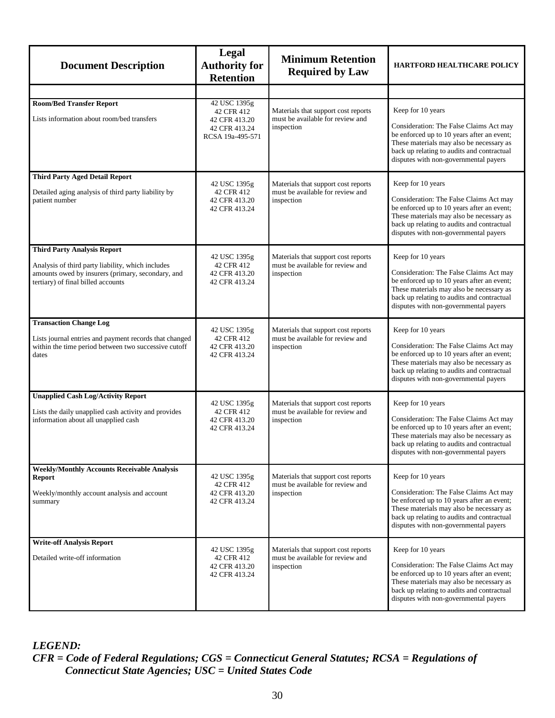<span id="page-34-6"></span><span id="page-34-5"></span><span id="page-34-4"></span><span id="page-34-3"></span><span id="page-34-2"></span><span id="page-34-1"></span><span id="page-34-0"></span>

| <b>Document Description</b>                                                                                                                  | Legal<br><b>Authority for</b><br><b>Retention</b>            | <b>Minimum Retention</b><br><b>Required by Law</b>                                    | <b>HARTFORD HEALTHCARE POLICY</b>                                                                                                                                                                                                             |
|----------------------------------------------------------------------------------------------------------------------------------------------|--------------------------------------------------------------|---------------------------------------------------------------------------------------|-----------------------------------------------------------------------------------------------------------------------------------------------------------------------------------------------------------------------------------------------|
|                                                                                                                                              |                                                              |                                                                                       |                                                                                                                                                                                                                                               |
| <b>Room/Bed Transfer Report</b>                                                                                                              | 42 USC 1395g<br>42 CFR 412                                   | Materials that support cost reports                                                   | Keep for 10 years                                                                                                                                                                                                                             |
| Lists information about room/bed transfers                                                                                                   | 42 CFR 413.20<br>42 CFR 413.24<br>RCSA 19a-495-571           | must be available for review and<br>inspection                                        | Consideration: The False Claims Act may<br>be enforced up to 10 years after an event;<br>These materials may also be necessary as<br>back up relating to audits and contractual<br>disputes with non-governmental payers                      |
| <b>Third Party Aged Detail Report</b>                                                                                                        | 42 USC 1395g                                                 | Materials that support cost reports                                                   | Keep for 10 years                                                                                                                                                                                                                             |
| Detailed aging analysis of third party liability by<br>patient number                                                                        | 42 CFR 412<br>42 CFR 413.20<br>42 CFR 413.24                 | must be available for review and<br>inspection                                        | Consideration: The False Claims Act may<br>be enforced up to 10 years after an event;<br>These materials may also be necessary as<br>back up relating to audits and contractual<br>disputes with non-governmental payers                      |
| <b>Third Party Analysis Report</b>                                                                                                           |                                                              |                                                                                       |                                                                                                                                                                                                                                               |
| Analysis of third party liability, which includes<br>amounts owed by insurers (primary, secondary, and<br>tertiary) of final billed accounts | 42 USC 1395g<br>42 CFR 412<br>42 CFR 413.20<br>42 CFR 413.24 | Materials that support cost reports<br>must be available for review and<br>inspection | Keep for 10 years<br>Consideration: The False Claims Act may<br>be enforced up to 10 years after an event;<br>These materials may also be necessary as<br>back up relating to audits and contractual<br>disputes with non-governmental payers |
| <b>Transaction Change Log</b>                                                                                                                | 42 USC 1395g                                                 | Materials that support cost reports                                                   | Keep for 10 years                                                                                                                                                                                                                             |
| Lists journal entries and payment records that changed<br>within the time period between two successive cutoff<br>dates                      | 42 CFR 412<br>42 CFR 413.20<br>42 CFR 413.24                 | must be available for review and<br>inspection                                        | Consideration: The False Claims Act may<br>be enforced up to 10 years after an event;<br>These materials may also be necessary as<br>back up relating to audits and contractual<br>disputes with non-governmental payers                      |
| <b>Unapplied Cash Log/Activity Report</b>                                                                                                    | 42 USC 1395g                                                 | Materials that support cost reports                                                   | Keep for 10 years                                                                                                                                                                                                                             |
| Lists the daily unapplied cash activity and provides<br>information about all unapplied cash                                                 | 42 CFR 412<br>42 CFR 413.20<br>42 CFR 413.24                 | must be available for review and<br>inspection                                        | Consideration: The False Claims Act may<br>be enforced up to 10 years after an event;<br>These materials may also be necessary as<br>back up relating to audits and contractual<br>disputes with non-governmental payers                      |
| <b>Weekly/Monthly Accounts Receivable Analysis</b><br><b>Report</b>                                                                          | 42 USC 1395g                                                 | Materials that support cost reports                                                   | Keep for 10 years                                                                                                                                                                                                                             |
| Weekly/monthly account analysis and account<br>summary                                                                                       | 42 CFR 412<br>42 CFR 413.20<br>42 CFR 413.24                 | must be available for review and<br>inspection                                        | Consideration: The False Claims Act may<br>be enforced up to 10 years after an event;<br>These materials may also be necessary as<br>back up relating to audits and contractual<br>disputes with non-governmental payers                      |
| <b>Write-off Analysis Report</b>                                                                                                             | 42 USC 1395g                                                 | Materials that support cost reports                                                   | Keep for 10 years                                                                                                                                                                                                                             |
| Detailed write-off information                                                                                                               | 42 CFR 412<br>42 CFR 413.20<br>42 CFR 413.24                 | must be available for review and<br>inspection                                        | Consideration: The False Claims Act may<br>be enforced up to 10 years after an event;<br>These materials may also be necessary as<br>back up relating to audits and contractual<br>disputes with non-governmental payers                      |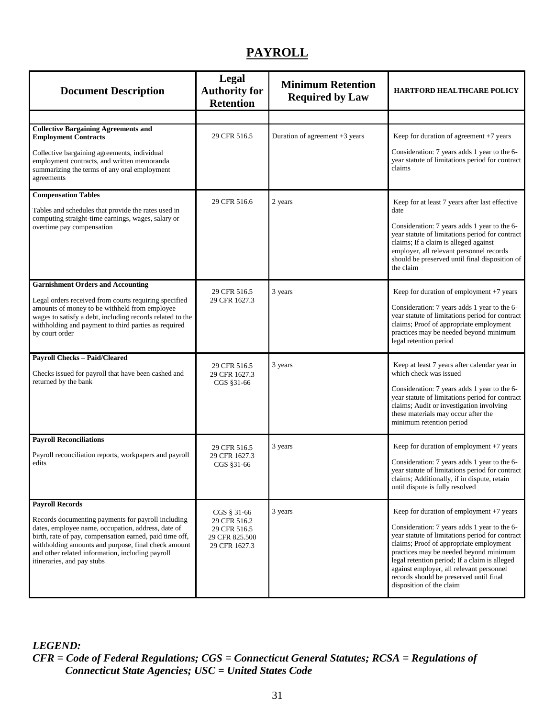# **PAYROLL**

<span id="page-35-4"></span><span id="page-35-3"></span><span id="page-35-2"></span><span id="page-35-1"></span><span id="page-35-0"></span>

| <b>Document Description</b>                                                                                                                                                                                                                                                                                  | Legal<br><b>Authority for</b><br><b>Retention</b>               | <b>Minimum Retention</b><br><b>Required by Law</b> | <b>HARTFORD HEALTHCARE POLICY</b>                                                                                                                                                                                                                                                                                                                        |
|--------------------------------------------------------------------------------------------------------------------------------------------------------------------------------------------------------------------------------------------------------------------------------------------------------------|-----------------------------------------------------------------|----------------------------------------------------|----------------------------------------------------------------------------------------------------------------------------------------------------------------------------------------------------------------------------------------------------------------------------------------------------------------------------------------------------------|
|                                                                                                                                                                                                                                                                                                              |                                                                 |                                                    |                                                                                                                                                                                                                                                                                                                                                          |
| <b>Collective Bargaining Agreements and</b><br><b>Employment Contracts</b>                                                                                                                                                                                                                                   | 29 CFR 516.5                                                    | Duration of agreement +3 years                     | Keep for duration of agreement $+7$ years                                                                                                                                                                                                                                                                                                                |
| Collective bargaining agreements, individual<br>employment contracts, and written memoranda<br>summarizing the terms of any oral employment<br>agreements                                                                                                                                                    |                                                                 |                                                    | Consideration: 7 years adds 1 year to the 6-<br>year statute of limitations period for contract<br>claims                                                                                                                                                                                                                                                |
| <b>Compensation Tables</b>                                                                                                                                                                                                                                                                                   | 29 CFR 516.6                                                    | 2 years                                            | Keep for at least 7 years after last effective                                                                                                                                                                                                                                                                                                           |
| Tables and schedules that provide the rates used in<br>computing straight-time earnings, wages, salary or<br>overtime pay compensation                                                                                                                                                                       |                                                                 |                                                    | date<br>Consideration: 7 years adds 1 year to the 6-<br>year statute of limitations period for contract<br>claims; If a claim is alleged against<br>employer, all relevant personnel records<br>should be preserved until final disposition of<br>the claim                                                                                              |
| <b>Garnishment Orders and Accounting</b>                                                                                                                                                                                                                                                                     | 29 CFR 516.5                                                    | 3 years                                            | Keep for duration of employment +7 years                                                                                                                                                                                                                                                                                                                 |
| Legal orders received from courts requiring specified<br>amounts of money to be withheld from employee<br>wages to satisfy a debt, including records related to the<br>withholding and payment to third parties as required<br>by court order                                                                | 29 CFR 1627.3                                                   |                                                    | Consideration: 7 years adds 1 year to the 6-<br>year statute of limitations period for contract<br>claims; Proof of appropriate employment<br>practices may be needed beyond minimum<br>legal retention period                                                                                                                                           |
| <b>Payroll Checks - Paid/Cleared</b>                                                                                                                                                                                                                                                                         | 29 CFR 516.5                                                    | 3 years                                            | Keep at least 7 years after calendar year in                                                                                                                                                                                                                                                                                                             |
| Checks issued for payroll that have been cashed and<br>returned by the bank                                                                                                                                                                                                                                  | 29 CFR 1627.3<br>CGS §31-66                                     |                                                    | which check was issued<br>Consideration: 7 years adds 1 year to the 6-<br>year statute of limitations period for contract<br>claims; Audit or investigation involving<br>these materials may occur after the<br>minimum retention period                                                                                                                 |
| <b>Payroll Reconciliations</b>                                                                                                                                                                                                                                                                               |                                                                 | 3 years                                            | Keep for duration of employment $+7$ years                                                                                                                                                                                                                                                                                                               |
| Payroll reconciliation reports, workpapers and payroll<br>edits                                                                                                                                                                                                                                              | 29 CFR 516.5<br>29 CFR 1627.3<br>CGS §31-66                     |                                                    | Consideration: 7 years adds 1 year to the 6-<br>year statute of limitations period for contract<br>claims; Additionally, if in dispute, retain<br>until dispute is fully resolved                                                                                                                                                                        |
| <b>Payroll Records</b>                                                                                                                                                                                                                                                                                       | CGS § 31-66                                                     | 3 years                                            | Keep for duration of employment $+7$ years                                                                                                                                                                                                                                                                                                               |
| Records documenting payments for payroll including<br>dates, employee name, occupation, address, date of<br>birth, rate of pay, compensation earned, paid time off,<br>withholding amounts and purpose, final check amount<br>and other related information, including payroll<br>itineraries, and pay stubs | 29 CFR 516.2<br>29 CFR 516.5<br>29 CFR 825.500<br>29 CFR 1627.3 |                                                    | Consideration: 7 years adds 1 year to the 6-<br>year statute of limitations period for contract<br>claims; Proof of appropriate employment<br>practices may be needed beyond minimum<br>legal retention period; If a claim is alleged<br>against employer, all relevant personnel<br>records should be preserved until final<br>disposition of the claim |

<span id="page-35-6"></span><span id="page-35-5"></span>*LEGEND:*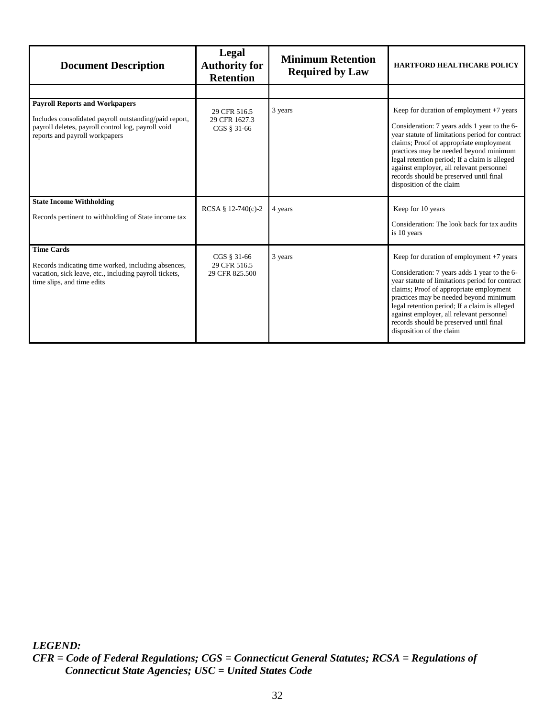<span id="page-36-2"></span><span id="page-36-1"></span><span id="page-36-0"></span>

| <b>Document Description</b>                                                                                                                                                             | Legal<br><b>Authority for</b><br><b>Retention</b> | <b>Minimum Retention</b><br><b>Required by Law</b> | <b>HARTFORD HEALTHCARE POLICY</b>                                                                                                                                                                                                                                                                                                                                                                      |
|-----------------------------------------------------------------------------------------------------------------------------------------------------------------------------------------|---------------------------------------------------|----------------------------------------------------|--------------------------------------------------------------------------------------------------------------------------------------------------------------------------------------------------------------------------------------------------------------------------------------------------------------------------------------------------------------------------------------------------------|
|                                                                                                                                                                                         |                                                   |                                                    |                                                                                                                                                                                                                                                                                                                                                                                                        |
| <b>Payroll Reports and Workpapers</b><br>Includes consolidated payroll outstanding/paid report,<br>payroll deletes, payroll control log, payroll void<br>reports and payroll workpapers | 29 CFR 516.5<br>29 CFR 1627.3<br>CGS § 31-66      | 3 years                                            | Keep for duration of employment $+7$ years<br>Consideration: 7 years adds 1 year to the 6-<br>year statute of limitations period for contract<br>claims; Proof of appropriate employment<br>practices may be needed beyond minimum<br>legal retention period; If a claim is alleged<br>against employer, all relevant personnel<br>records should be preserved until final<br>disposition of the claim |
| <b>State Income Withholding</b><br>Records pertinent to withholding of State income tax                                                                                                 | RCSA § $12-740(c)-2$                              | 4 years                                            | Keep for 10 years<br>Consideration: The look back for tax audits<br>is 10 years                                                                                                                                                                                                                                                                                                                        |
| <b>Time Cards</b><br>Records indicating time worked, including absences,<br>vacation, sick leave, etc., including payroll tickets,<br>time slips, and time edits                        | CGS § 31-66<br>29 CFR 516.5<br>29 CFR 825.500     | 3 years                                            | Keep for duration of employment $+7$ years<br>Consideration: 7 years adds 1 year to the 6-<br>year statute of limitations period for contract<br>claims; Proof of appropriate employment<br>practices may be needed beyond minimum<br>legal retention period; If a claim is alleged<br>against employer, all relevant personnel<br>records should be preserved until final<br>disposition of the claim |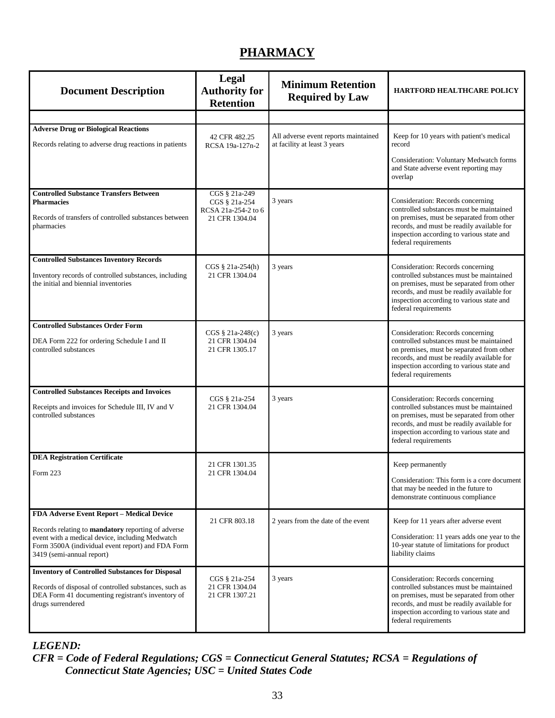# <span id="page-37-3"></span><span id="page-37-1"></span>**PHARMACY**

<span id="page-37-4"></span><span id="page-37-2"></span><span id="page-37-0"></span>

| <b>Document Description</b>                                                                                                                                                                                                          | <b>Legal</b><br><b>Authority for</b><br><b>Retention</b>                | <b>Minimum Retention</b><br><b>Required by Law</b>                   | <b>HARTFORD HEALTHCARE POLICY</b>                                                                                                                                                                                                             |
|--------------------------------------------------------------------------------------------------------------------------------------------------------------------------------------------------------------------------------------|-------------------------------------------------------------------------|----------------------------------------------------------------------|-----------------------------------------------------------------------------------------------------------------------------------------------------------------------------------------------------------------------------------------------|
|                                                                                                                                                                                                                                      |                                                                         |                                                                      |                                                                                                                                                                                                                                               |
| <b>Adverse Drug or Biological Reactions</b><br>Records relating to adverse drug reactions in patients                                                                                                                                | 42 CFR 482.25<br>RCSA 19a-127n-2                                        | All adverse event reports maintained<br>at facility at least 3 years | Keep for 10 years with patient's medical<br>record                                                                                                                                                                                            |
|                                                                                                                                                                                                                                      |                                                                         |                                                                      | Consideration: Voluntary Medwatch forms<br>and State adverse event reporting may<br>overlap                                                                                                                                                   |
| <b>Controlled Substance Transfers Between</b><br><b>Pharmacies</b><br>Records of transfers of controlled substances between<br>pharmacies                                                                                            | CGS § 21a-249<br>CGS § 21a-254<br>RCSA 21a-254-2 to 6<br>21 CFR 1304.04 | 3 years                                                              | Consideration: Records concerning<br>controlled substances must be maintained<br>on premises, must be separated from other<br>records, and must be readily available for<br>inspection according to various state and<br>federal requirements |
| <b>Controlled Substances Inventory Records</b><br>Inventory records of controlled substances, including<br>the initial and biennial inventories                                                                                      | CGS § 21a-254(h)<br>21 CFR 1304.04                                      | 3 years                                                              | Consideration: Records concerning<br>controlled substances must be maintained<br>on premises, must be separated from other<br>records, and must be readily available for<br>inspection according to various state and<br>federal requirements |
| <b>Controlled Substances Order Form</b><br>DEA Form 222 for ordering Schedule I and II<br>controlled substances                                                                                                                      | CGS § 21a-248(c)<br>21 CFR 1304.04<br>21 CFR 1305.17                    | 3 years                                                              | Consideration: Records concerning<br>controlled substances must be maintained<br>on premises, must be separated from other<br>records, and must be readily available for<br>inspection according to various state and<br>federal requirements |
| <b>Controlled Substances Receipts and Invoices</b><br>Receipts and invoices for Schedule III, IV and V<br>controlled substances                                                                                                      | CGS § 21a-254<br>21 CFR 1304.04                                         | 3 years                                                              | Consideration: Records concerning<br>controlled substances must be maintained<br>on premises, must be separated from other<br>records, and must be readily available for<br>inspection according to various state and<br>federal requirements |
| <b>DEA Registration Certificate</b>                                                                                                                                                                                                  | 21 CFR 1301.35                                                          |                                                                      | Keep permanently                                                                                                                                                                                                                              |
| Form 223                                                                                                                                                                                                                             | 21 CFR 1304.04                                                          |                                                                      | Consideration: This form is a core document<br>that may be needed in the future to<br>demonstrate continuous compliance                                                                                                                       |
| FDA Adverse Event Report - Medical Device<br>Records relating to mandatory reporting of adverse<br>event with a medical device, including Medwatch<br>Form 3500A (individual event report) and FDA Form<br>3419 (semi-annual report) | 21 CFR 803.18                                                           | 2 years from the date of the event                                   | Keep for 11 years after adverse event<br>Consideration: 11 years adds one year to the<br>10-year statute of limitations for product<br>liability claims                                                                                       |
| <b>Inventory of Controlled Substances for Disposal</b><br>Records of disposal of controlled substances, such as<br>DEA Form 41 documenting registrant's inventory of<br>drugs surrendered                                            | CGS § 21a-254<br>21 CFR 1304.04<br>21 CFR 1307.21                       | 3 years                                                              | Consideration: Records concerning<br>controlled substances must be maintained<br>on premises, must be separated from other<br>records, and must be readily available for<br>inspection according to various state and<br>federal requirements |

## <span id="page-37-8"></span><span id="page-37-7"></span><span id="page-37-6"></span><span id="page-37-5"></span>*LEGEND:*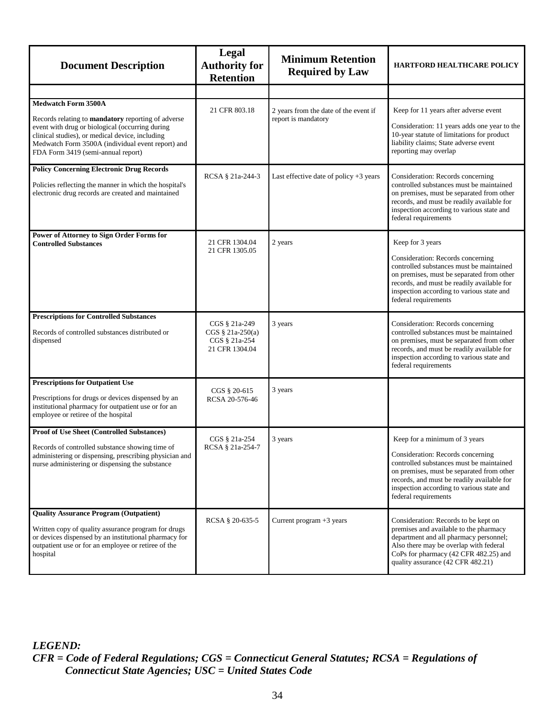<span id="page-38-5"></span><span id="page-38-4"></span><span id="page-38-3"></span><span id="page-38-2"></span><span id="page-38-1"></span><span id="page-38-0"></span>

| <b>Document Description</b>                                                                                                                                                                                                                                                       | Legal<br><b>Authority for</b><br><b>Retention</b>                    | <b>Minimum Retention</b><br><b>Required by Law</b>           | HARTFORD HEALTHCARE POLICY                                                                                                                                                                                                                                                     |
|-----------------------------------------------------------------------------------------------------------------------------------------------------------------------------------------------------------------------------------------------------------------------------------|----------------------------------------------------------------------|--------------------------------------------------------------|--------------------------------------------------------------------------------------------------------------------------------------------------------------------------------------------------------------------------------------------------------------------------------|
|                                                                                                                                                                                                                                                                                   |                                                                      |                                                              |                                                                                                                                                                                                                                                                                |
| <b>Medwatch Form 3500A</b><br>Records relating to mandatory reporting of adverse<br>event with drug or biological (occurring during<br>clinical studies), or medical device, including<br>Medwatch Form 3500A (individual event report) and<br>FDA Form 3419 (semi-annual report) | 21 CFR 803.18                                                        | 2 years from the date of the event if<br>report is mandatory | Keep for 11 years after adverse event<br>Consideration: 11 years adds one year to the<br>10-year statute of limitations for product<br>liability claims; State adverse event<br>reporting may overlap                                                                          |
| <b>Policy Concerning Electronic Drug Records</b><br>Policies reflecting the manner in which the hospital's<br>electronic drug records are created and maintained                                                                                                                  | RCSA § 21a-244-3                                                     | Last effective date of policy $+3$ years                     | Consideration: Records concerning<br>controlled substances must be maintained<br>on premises, must be separated from other<br>records, and must be readily available for<br>inspection according to various state and<br>federal requirements                                  |
| Power of Attorney to Sign Order Forms for<br><b>Controlled Substances</b>                                                                                                                                                                                                         | 21 CFR 1304.04<br>21 CFR 1305.05                                     | 2 years                                                      | Keep for 3 years<br>Consideration: Records concerning<br>controlled substances must be maintained<br>on premises, must be separated from other<br>records, and must be readily available for<br>inspection according to various state and<br>federal requirements              |
| <b>Prescriptions for Controlled Substances</b><br>Records of controlled substances distributed or<br>dispensed                                                                                                                                                                    | CGS § 21a-249<br>CGS § 21a-250(a)<br>CGS § 21a-254<br>21 CFR 1304.04 | 3 years                                                      | Consideration: Records concerning<br>controlled substances must be maintained<br>on premises, must be separated from other<br>records, and must be readily available for<br>inspection according to various state and<br>federal requirements                                  |
| <b>Prescriptions for Outpatient Use</b><br>Prescriptions for drugs or devices dispensed by an<br>institutional pharmacy for outpatient use or for an<br>employee or retiree of the hospital                                                                                       | CGS § 20-615<br>RCSA 20-576-46                                       | 3 years                                                      |                                                                                                                                                                                                                                                                                |
| <b>Proof of Use Sheet (Controlled Substances)</b><br>Records of controlled substance showing time of<br>administering or dispensing, prescribing physician and<br>nurse administering or dispensing the substance                                                                 | CGS § 21a-254<br>RCSA § 21a-254-7                                    | 3 years                                                      | Keep for a minimum of 3 years<br>Consideration: Records concerning<br>controlled substances must be maintained<br>on premises, must be separated from other<br>records, and must be readily available for<br>inspection according to various state and<br>federal requirements |
| <b>Quality Assurance Program (Outpatient)</b><br>Written copy of quality assurance program for drugs<br>or devices dispensed by an institutional pharmacy for<br>outpatient use or for an employee or retiree of the<br>hospital                                                  | RCSA § 20-635-5                                                      | Current program $+3$ years                                   | Consideration: Records to be kept on<br>premises and available to the pharmacy<br>department and all pharmacy personnel;<br>Also there may be overlap with federal<br>CoPs for pharmacy (42 CFR 482.25) and<br>quality assurance (42 CFR 482.21)                               |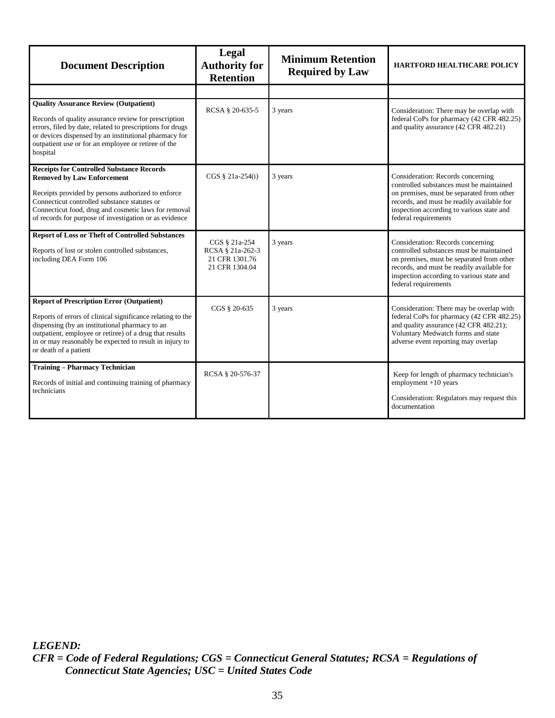<span id="page-39-3"></span><span id="page-39-2"></span><span id="page-39-1"></span><span id="page-39-0"></span>

| <b>Document Description</b>                                                                                                                                                                                                                                                                                     | <b>Legal</b><br><b>Authority for</b><br><b>Retention</b>              | <b>Minimum Retention</b><br><b>Required by Law</b> | <b>HARTFORD HEALTHCARE POLICY</b>                                                                                                                                                                                                             |
|-----------------------------------------------------------------------------------------------------------------------------------------------------------------------------------------------------------------------------------------------------------------------------------------------------------------|-----------------------------------------------------------------------|----------------------------------------------------|-----------------------------------------------------------------------------------------------------------------------------------------------------------------------------------------------------------------------------------------------|
|                                                                                                                                                                                                                                                                                                                 |                                                                       |                                                    |                                                                                                                                                                                                                                               |
| <b>Quality Assurance Review (Outpatient)</b><br>Records of quality assurance review for prescription<br>errors, filed by date, related to prescriptions for drugs<br>or devices dispensed by an institutional pharmacy for<br>outpatient use or for an employee or retiree of the<br>hospital                   | RCSA § 20-635-5                                                       | 3 years                                            | Consideration: There may be overlap with<br>federal CoPs for pharmacy (42 CFR 482.25)<br>and quality assurance (42 CFR 482.21)                                                                                                                |
| <b>Receipts for Controlled Substance Records</b><br><b>Removed by Law Enforcement</b><br>Receipts provided by persons authorized to enforce<br>Connecticut controlled substance statutes or<br>Connecticut food, drug and cosmetic laws for removal<br>of records for purpose of investigation or as evidence   | $CGS \S 21a-254(i)$                                                   | 3 years                                            | Consideration: Records concerning<br>controlled substances must be maintained<br>on premises, must be separated from other<br>records, and must be readily available for<br>inspection according to various state and<br>federal requirements |
| <b>Report of Loss or Theft of Controlled Substances</b><br>Reports of lost or stolen controlled substances,<br>including DEA Form 106                                                                                                                                                                           | CGS § 21a-254<br>RCSA § 21a-262-3<br>21 CFR 1301.76<br>21 CFR 1304.04 | 3 years                                            | Consideration: Records concerning<br>controlled substances must be maintained<br>on premises, must be separated from other<br>records, and must be readily available for<br>inspection according to various state and<br>federal requirements |
| <b>Report of Prescription Error (Outpatient)</b><br>Reports of errors of clinical significance relating to the<br>dispensing (by an institutional pharmacy to an<br>outpatient, employee or retiree) of a drug that results<br>in or may reasonably be expected to result in injury to<br>or death of a patient | CGS § 20-635                                                          | 3 years                                            | Consideration: There may be overlap with<br>federal CoPs for pharmacy (42 CFR 482.25)<br>and quality assurance (42 CFR 482.21);<br>Voluntary Medwatch forms and state<br>adverse event reporting may overlap                                  |
| <b>Training - Pharmacy Technician</b><br>Records of initial and continuing training of pharmacy<br>technicians                                                                                                                                                                                                  | RCSA § 20-576-37                                                      |                                                    | Keep for length of pharmacy technician's<br>$employment +10 years$<br>Consideration: Regulators may request this<br>documentation                                                                                                             |

<span id="page-39-4"></span>*CFR = Code of Federal Regulations; CGS = Connecticut General Statutes; RCSA = Regulations of Connecticut State Agencies; USC = United States Code*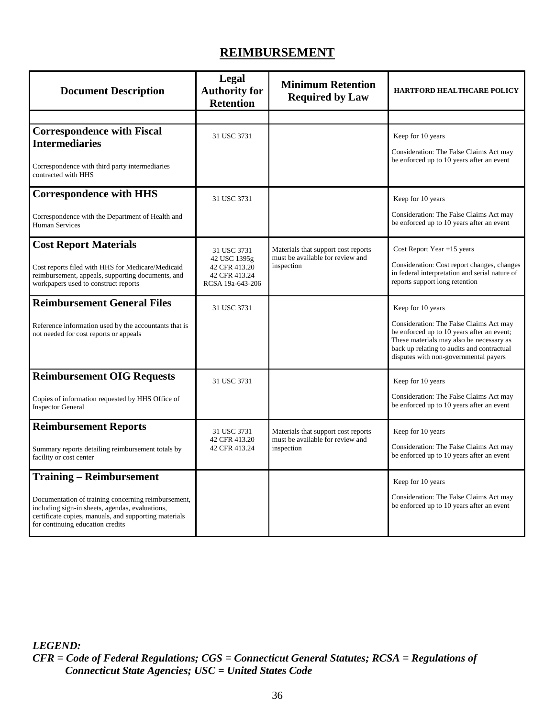## <span id="page-40-4"></span><span id="page-40-3"></span>**REIMBURSEMENT**

<span id="page-40-6"></span><span id="page-40-5"></span><span id="page-40-2"></span><span id="page-40-1"></span><span id="page-40-0"></span>

| <b>Document Description</b>                                                                                                                                                                                                            | Legal<br><b>Authority for</b><br><b>Retention</b>                                 | <b>Minimum Retention</b><br><b>Required by Law</b>                                    | <b>HARTFORD HEALTHCARE POLICY</b>                                                                                                                                                                                                             |
|----------------------------------------------------------------------------------------------------------------------------------------------------------------------------------------------------------------------------------------|-----------------------------------------------------------------------------------|---------------------------------------------------------------------------------------|-----------------------------------------------------------------------------------------------------------------------------------------------------------------------------------------------------------------------------------------------|
|                                                                                                                                                                                                                                        |                                                                                   |                                                                                       |                                                                                                                                                                                                                                               |
| <b>Correspondence with Fiscal</b><br><b>Intermediaries</b><br>Correspondence with third party intermediaries<br>contracted with HHS                                                                                                    | 31 USC 3731                                                                       |                                                                                       | Keep for 10 years<br>Consideration: The False Claims Act may<br>be enforced up to 10 years after an event                                                                                                                                     |
| <b>Correspondence with HHS</b><br>Correspondence with the Department of Health and<br><b>Human Services</b>                                                                                                                            | 31 USC 3731                                                                       |                                                                                       | Keep for 10 years<br>Consideration: The False Claims Act may<br>be enforced up to 10 years after an event                                                                                                                                     |
| <b>Cost Report Materials</b><br>Cost reports filed with HHS for Medicare/Medicaid<br>reimbursement, appeals, supporting documents, and<br>workpapers used to construct reports                                                         | 31 USC 3731<br>42 USC 1395g<br>42 CFR 413.20<br>42 CFR 413.24<br>RCSA 19a-643-206 | Materials that support cost reports<br>must be available for review and<br>inspection | Cost Report Year +15 years<br>Consideration: Cost report changes, changes<br>in federal interpretation and serial nature of<br>reports support long retention                                                                                 |
| <b>Reimbursement General Files</b><br>Reference information used by the accountants that is<br>not needed for cost reports or appeals                                                                                                  | 31 USC 3731                                                                       |                                                                                       | Keep for 10 years<br>Consideration: The False Claims Act may<br>be enforced up to 10 years after an event;<br>These materials may also be necessary as<br>back up relating to audits and contractual<br>disputes with non-governmental payers |
| <b>Reimbursement OIG Requests</b><br>Copies of information requested by HHS Office of<br><b>Inspector General</b>                                                                                                                      | 31 USC 3731                                                                       |                                                                                       | Keep for 10 years<br>Consideration: The False Claims Act may<br>be enforced up to 10 years after an event                                                                                                                                     |
| <b>Reimbursement Reports</b><br>Summary reports detailing reimbursement totals by<br>facility or cost center                                                                                                                           | 31 USC 3731<br>42 CFR 413.20<br>42 CFR 413.24                                     | Materials that support cost reports<br>must be available for review and<br>inspection | Keep for 10 years<br>Consideration: The False Claims Act may<br>be enforced up to 10 years after an event                                                                                                                                     |
| <b>Training – Reimbursement</b><br>Documentation of training concerning reimbursement,<br>including sign-in sheets, agendas, evaluations,<br>certificate copies, manuals, and supporting materials<br>for continuing education credits |                                                                                   |                                                                                       | Keep for 10 years<br>Consideration: The False Claims Act may<br>be enforced up to 10 years after an event                                                                                                                                     |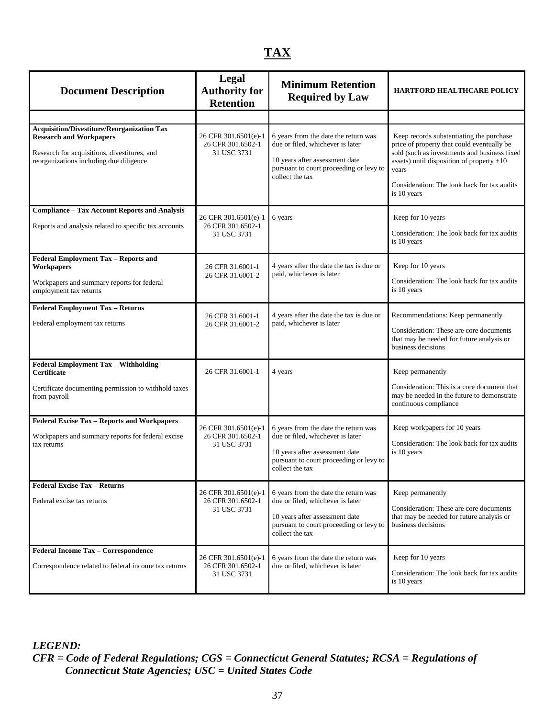# <span id="page-41-1"></span>**TAX**

<span id="page-41-5"></span><span id="page-41-4"></span><span id="page-41-3"></span><span id="page-41-2"></span><span id="page-41-0"></span>

| <b>Document Description</b>                                                                                                                                                    | Legal<br><b>Authority for</b><br><b>Retention</b>        | <b>Minimum Retention</b><br><b>Required by Law</b>                                                                                                                       | <b>HARTFORD HEALTHCARE POLICY</b>                                                                                                                                                                                                                          |
|--------------------------------------------------------------------------------------------------------------------------------------------------------------------------------|----------------------------------------------------------|--------------------------------------------------------------------------------------------------------------------------------------------------------------------------|------------------------------------------------------------------------------------------------------------------------------------------------------------------------------------------------------------------------------------------------------------|
|                                                                                                                                                                                |                                                          |                                                                                                                                                                          |                                                                                                                                                                                                                                                            |
| <b>Acquisition/Divestiture/Reorganization Tax</b><br><b>Research and Workpapers</b><br>Research for acquisitions, divestitures, and<br>reorganizations including due diligence | 26 CFR 301.6501(e)-1<br>26 CFR 301.6502-1<br>31 USC 3731 | 6 years from the date the return was<br>due or filed, whichever is later<br>10 years after assessment date<br>pursuant to court proceeding or levy to<br>collect the tax | Keep records substantiating the purchase<br>price of property that could eventually be<br>sold (such as investments and business fixed<br>assets) until disposition of property +10<br>years<br>Consideration: The look back for tax audits<br>is 10 years |
| <b>Compliance - Tax Account Reports and Analysis</b><br>Reports and analysis related to specific tax accounts                                                                  | 26 CFR 301.6501(e)-1<br>26 CFR 301.6502-1<br>31 USC 3731 | 6 years                                                                                                                                                                  | Keep for 10 years<br>Consideration: The look back for tax audits<br>is 10 years                                                                                                                                                                            |
| Federal Employment Tax - Reports and<br><b>Workpapers</b><br>Workpapers and summary reports for federal<br>employment tax returns                                              | 26 CFR 31.6001-1<br>26 CFR 31.6001-2                     | 4 years after the date the tax is due or<br>paid, whichever is later                                                                                                     | Keep for 10 years<br>Consideration: The look back for tax audits<br>is 10 years                                                                                                                                                                            |
| <b>Federal Employment Tax - Returns</b><br>Federal employment tax returns                                                                                                      | 26 CFR 31.6001-1<br>26 CFR 31.6001-2                     | 4 years after the date the tax is due or<br>paid, whichever is later                                                                                                     | Recommendations: Keep permanently<br>Consideration: These are core documents<br>that may be needed for future analysis or<br>business decisions                                                                                                            |
| Federal Employment Tax - Withholding<br>Certificate<br>Certificate documenting permission to withhold taxes<br>from payroll                                                    | 26 CFR 31.6001-1                                         | 4 years                                                                                                                                                                  | Keep permanently<br>Consideration: This is a core document that<br>may be needed in the future to demonstrate<br>continuous compliance                                                                                                                     |
| Federal Excise Tax - Reports and Workpapers<br>Workpapers and summary reports for federal excise<br>tax returns                                                                | 26 CFR 301.6501(e)-1<br>26 CFR 301.6502-1<br>31 USC 3731 | 6 years from the date the return was<br>due or filed, whichever is later<br>10 years after assessment date<br>pursuant to court proceeding or levy to<br>collect the tax | Keep workpapers for 10 years<br>Consideration: The look back for tax audits<br>is 10 years                                                                                                                                                                 |
| <b>Federal Excise Tax - Returns</b><br>Federal excise tax returns                                                                                                              | 26 CFR 301.6501(e)-1<br>26 CFR 301.6502-1<br>31 USC 3731 | 6 years from the date the return was<br>due or filed, whichever is later<br>10 years after assessment date<br>pursuant to court proceeding or levy to<br>collect the tax | Keep permanently<br>Consideration: These are core documents<br>that may be needed for future analysis or<br>business decisions                                                                                                                             |
| Federal Income Tax - Correspondence<br>Correspondence related to federal income tax returns                                                                                    | 26 CFR 301.6501(e)-1<br>26 CFR 301.6502-1<br>31 USC 3731 | 6 years from the date the return was<br>due or filed, whichever is later                                                                                                 | Keep for 10 years<br>Consideration: The look back for tax audits<br>is 10 years                                                                                                                                                                            |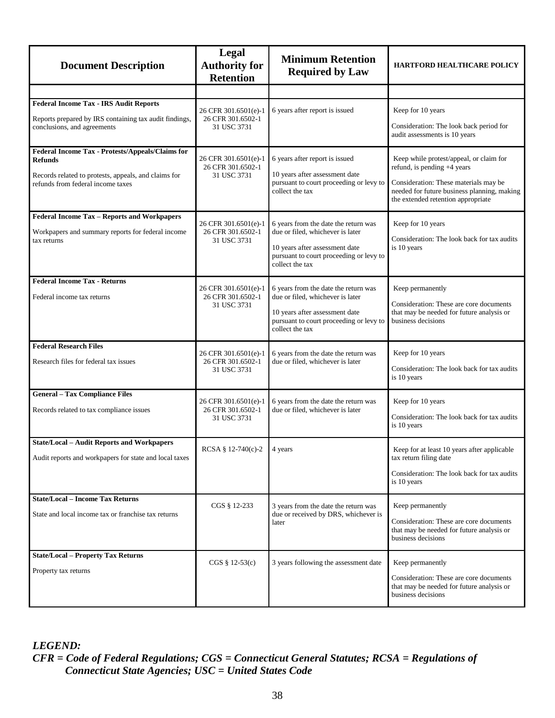<span id="page-42-2"></span><span id="page-42-1"></span><span id="page-42-0"></span>

| <b>Document Description</b>                                                                                                                                     | <b>Legal</b><br><b>Authority for</b><br><b>Retention</b> | <b>Minimum Retention</b><br><b>Required by Law</b>                                                                                                                       | <b>HARTFORD HEALTHCARE POLICY</b>                                                                                                                                                                    |
|-----------------------------------------------------------------------------------------------------------------------------------------------------------------|----------------------------------------------------------|--------------------------------------------------------------------------------------------------------------------------------------------------------------------------|------------------------------------------------------------------------------------------------------------------------------------------------------------------------------------------------------|
|                                                                                                                                                                 |                                                          |                                                                                                                                                                          |                                                                                                                                                                                                      |
| <b>Federal Income Tax - IRS Audit Reports</b><br>Reports prepared by IRS containing tax audit findings,<br>conclusions, and agreements                          | 26 CFR 301.6501(e)-1<br>26 CFR 301.6502-1<br>31 USC 3731 | 6 years after report is issued                                                                                                                                           | Keep for 10 years<br>Consideration: The look back period for<br>audit assessments is 10 years                                                                                                        |
| Federal Income Tax - Protests/Appeals/Claims for<br><b>Refunds</b><br>Records related to protests, appeals, and claims for<br>refunds from federal income taxes | 26 CFR 301.6501(e)-1<br>26 CFR 301.6502-1<br>31 USC 3731 | 6 years after report is issued<br>10 years after assessment date<br>pursuant to court proceeding or levy to<br>collect the tax                                           | Keep while protest/appeal, or claim for<br>refund, is pending +4 years<br>Consideration: These materials may be<br>needed for future business planning, making<br>the extended retention appropriate |
| Federal Income Tax - Reports and Workpapers<br>Workpapers and summary reports for federal income<br>tax returns                                                 | 26 CFR 301.6501(e)-1<br>26 CFR 301.6502-1<br>31 USC 3731 | 6 years from the date the return was<br>due or filed, whichever is later<br>10 years after assessment date<br>pursuant to court proceeding or levy to<br>collect the tax | Keep for 10 years<br>Consideration: The look back for tax audits<br>is 10 years                                                                                                                      |
| <b>Federal Income Tax - Returns</b><br>Federal income tax returns                                                                                               | 26 CFR 301.6501(e)-1<br>26 CFR 301.6502-1<br>31 USC 3731 | 6 years from the date the return was<br>due or filed, whichever is later<br>10 years after assessment date<br>pursuant to court proceeding or levy to<br>collect the tax | Keep permanently<br>Consideration: These are core documents<br>that may be needed for future analysis or<br>business decisions                                                                       |
| <b>Federal Research Files</b><br>Research files for federal tax issues                                                                                          | 26 CFR 301.6501(e)-1<br>26 CFR 301.6502-1<br>31 USC 3731 | 6 years from the date the return was<br>due or filed, whichever is later                                                                                                 | Keep for 10 years<br>Consideration: The look back for tax audits<br>is 10 years                                                                                                                      |
| <b>General - Tax Compliance Files</b><br>Records related to tax compliance issues                                                                               | 26 CFR 301.6501(e)-1<br>26 CFR 301.6502-1<br>31 USC 3731 | 6 years from the date the return was<br>due or filed, whichever is later                                                                                                 | Keep for 10 years<br>Consideration: The look back for tax audits<br>is 10 years                                                                                                                      |
| <b>State/Local - Audit Reports and Workpapers</b><br>Audit reports and workpapers for state and local taxes                                                     | RCSA § 12-740(c)-2 4 years                               |                                                                                                                                                                          | Keep for at least 10 years after applicable<br>tax return filing date<br>Consideration: The look back for tax audits<br>is 10 years                                                                  |
| <b>State/Local – Income Tax Returns</b><br>State and local income tax or franchise tax returns                                                                  | CGS § 12-233                                             | 3 years from the date the return was<br>due or received by DRS, whichever is<br>later                                                                                    | Keep permanently<br>Consideration: These are core documents<br>that may be needed for future analysis or<br>business decisions                                                                       |
| <b>State/Local - Property Tax Returns</b><br>Property tax returns                                                                                               | $CGS \S 12-53(c)$                                        | 3 years following the assessment date                                                                                                                                    | Keep permanently<br>Consideration: These are core documents<br>that may be needed for future analysis or<br>business decisions                                                                       |